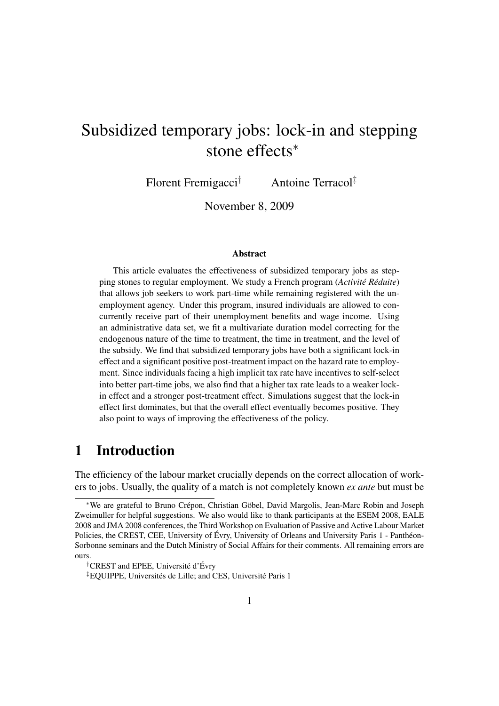# Subsidized temporary jobs: lock-in and stepping stone effects<sup>∗</sup>

Florent Fremigacci† Antoine Terracol‡

November 8, 2009

#### Abstract

This article evaluates the effectiveness of subsidized temporary jobs as stepping stones to regular employment. We study a French program (*Activité Réduite*) that allows job seekers to work part-time while remaining registered with the unemployment agency. Under this program, insured individuals are allowed to concurrently receive part of their unemployment benefits and wage income. Using an administrative data set, we fit a multivariate duration model correcting for the endogenous nature of the time to treatment, the time in treatment, and the level of the subsidy. We find that subsidized temporary jobs have both a significant lock-in effect and a significant positive post-treatment impact on the hazard rate to employment. Since individuals facing a high implicit tax rate have incentives to self-select into better part-time jobs, we also find that a higher tax rate leads to a weaker lockin effect and a stronger post-treatment effect. Simulations suggest that the lock-in effect first dominates, but that the overall effect eventually becomes positive. They also point to ways of improving the effectiveness of the policy.

### 1 Introduction

The efficiency of the labour market crucially depends on the correct allocation of workers to jobs. Usually, the quality of a match is not completely known *ex ante* but must be

<sup>∗</sup>We are grateful to Bruno Crépon, Christian Göbel, David Margolis, Jean-Marc Robin and Joseph Zweimuller for helpful suggestions. We also would like to thank participants at the ESEM 2008, EALE 2008 and JMA 2008 conferences, the Third Workshop on Evaluation of Passive and Active Labour Market Policies, the CREST, CEE, University of Évry, University of Orleans and University Paris 1 - Panthéon-Sorbonne seminars and the Dutch Ministry of Social Affairs for their comments. All remaining errors are ours.

<sup>†</sup>CREST and EPEE, Université d'Évry

<sup>‡</sup>EQUIPPE, Universités de Lille; and CES, Université Paris 1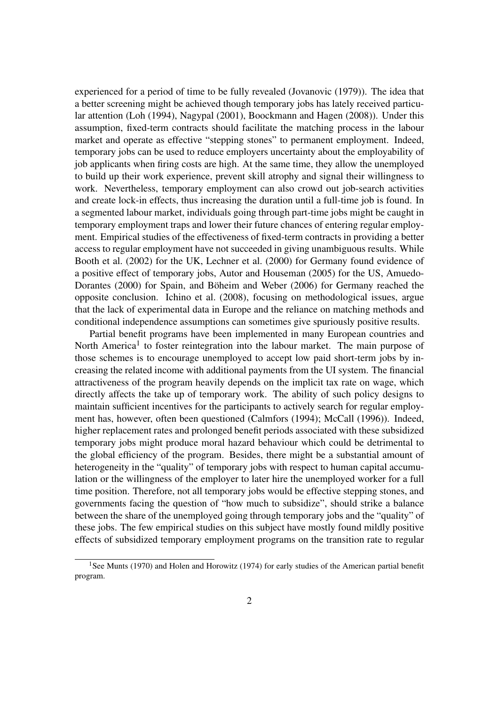experienced for a period of time to be fully revealed [\(Jovanovic](#page-21-0) [\(1979\)](#page-21-0)). The idea that a better screening might be achieved though temporary jobs has lately received particular attention [\(Loh](#page-22-0) [\(1994\)](#page-22-0), [Nagypal](#page-22-1) [\(2001\)](#page-22-1), [Boockmann and Hagen](#page-20-0) [\(2008\)](#page-20-0)). Under this assumption, fixed-term contracts should facilitate the matching process in the labour market and operate as effective "stepping stones" to permanent employment. Indeed, temporary jobs can be used to reduce employers uncertainty about the employability of job applicants when firing costs are high. At the same time, they allow the unemployed to build up their work experience, prevent skill atrophy and signal their willingness to work. Nevertheless, temporary employment can also crowd out job-search activities and create lock-in effects, thus increasing the duration until a full-time job is found. In a segmented labour market, individuals going through part-time jobs might be caught in temporary employment traps and lower their future chances of entering regular employment. Empirical studies of the effectiveness of fixed-term contracts in providing a better access to regular employment have not succeeded in giving unambiguous results. While [Booth et al.](#page-21-1) [\(2002\)](#page-21-1) for the UK, [Lechner et al.](#page-22-2) [\(2000\)](#page-22-2) for Germany found evidence of a positive effect of temporary jobs, [Autor and Houseman](#page-20-1) [\(2005\)](#page-20-1) for the US, [Amuedo-](#page-20-2)[Dorantes](#page-20-2) [\(2000\)](#page-20-2) for Spain, and [Böheim and Weber](#page-20-3) [\(2006\)](#page-20-3) for Germany reached the opposite conclusion. [Ichino et al.](#page-21-2) [\(2008\)](#page-21-2), focusing on methodological issues, argue that the lack of experimental data in Europe and the reliance on matching methods and conditional independence assumptions can sometimes give spuriously positive results.

Partial benefit programs have been implemented in many European countries and North America<sup>[1](#page-1-0)</sup> to foster reintegration into the labour market. The main purpose of those schemes is to encourage unemployed to accept low paid short-term jobs by increasing the related income with additional payments from the UI system. The financial attractiveness of the program heavily depends on the implicit tax rate on wage, which directly affects the take up of temporary work. The ability of such policy designs to maintain sufficient incentives for the participants to actively search for regular employment has, however, often been questioned [\(Calmfors](#page-21-3) [\(1994\)](#page-21-3); [McCall](#page-22-3) [\(1996\)](#page-22-3)). Indeed, higher replacement rates and prolonged benefit periods associated with these subsidized temporary jobs might produce moral hazard behaviour which could be detrimental to the global efficiency of the program. Besides, there might be a substantial amount of heterogeneity in the "quality" of temporary jobs with respect to human capital accumulation or the willingness of the employer to later hire the unemployed worker for a full time position. Therefore, not all temporary jobs would be effective stepping stones, and governments facing the question of "how much to subsidize", should strike a balance between the share of the unemployed going through temporary jobs and the "quality" of these jobs. The few empirical studies on this subject have mostly found mildly positive effects of subsidized temporary employment programs on the transition rate to regular

<span id="page-1-0"></span><sup>&</sup>lt;sup>1</sup>See [Munts](#page-22-4) [\(1970\)](#page-22-4) and [Holen and Horowitz](#page-21-4) [\(1974\)](#page-21-4) for early studies of the American partial benefit program.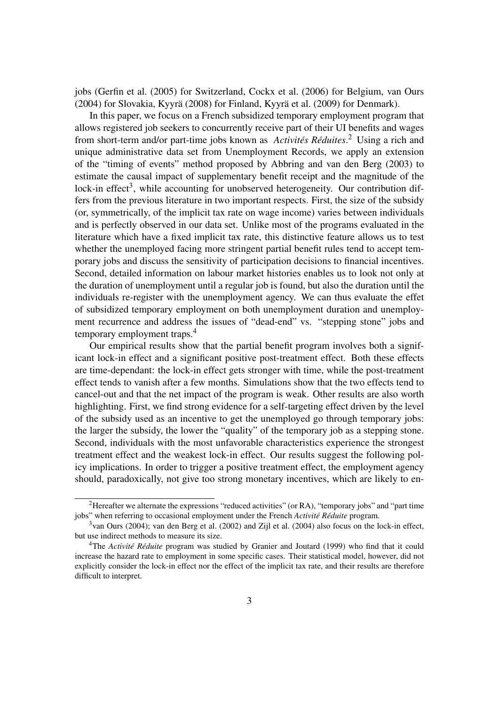jobs [\(Gerfin et al.](#page-21-5) [\(2005\)](#page-21-5) for Switzerland, [Cockx et al.](#page-21-6) [\(2006\)](#page-21-6) for Belgium, [van Ours](#page-22-5) [\(2004\)](#page-22-5) for Slovakia, [Kyyrä](#page-21-7) [\(2008\)](#page-21-7) for Finland, [Kyyrä et al.](#page-21-8) [\(2009\)](#page-21-8) for Denmark).

In this paper, we focus on a French subsidized temporary employment program that allows registered job seekers to concurrently receive part of their UI benefits and wages from short-term and/or part-time jobs known as *Activités Réduites*. [2](#page-2-0) Using a rich and unique administrative data set from Unemployment Records, we apply an extension of the "timing of events" method proposed by [Abbring and van den Berg](#page-20-4) [\(2003\)](#page-20-4) to estimate the causal impact of supplementary benefit receipt and the magnitude of the lock-in effect<sup>[3](#page-2-1)</sup>, while accounting for unobserved heterogeneity. Our contribution differs from the previous literature in two important respects. First, the size of the subsidy (or, symmetrically, of the implicit tax rate on wage income) varies between individuals and is perfectly observed in our data set. Unlike most of the programs evaluated in the literature which have a fixed implicit tax rate, this distinctive feature allows us to test whether the unemployed facing more stringent partial benefit rules tend to accept temporary jobs and discuss the sensitivity of participation decisions to financial incentives. Second, detailed information on labour market histories enables us to look not only at the duration of unemployment until a regular job is found, but also the duration until the individuals re-register with the unemployment agency. We can thus evaluate the effet of subsidized temporary employment on both unemployment duration and unemployment recurrence and address the issues of "dead-end" vs. "stepping stone" jobs and temporary employment traps.[4](#page-2-2)

Our empirical results show that the partial benefit program involves both a significant lock-in effect and a significant positive post-treatment effect. Both these effects are time-dependant: the lock-in effect gets stronger with time, while the post-treatment effect tends to vanish after a few months. Simulations show that the two effects tend to cancel-out and that the net impact of the program is weak. Other results are also worth highlighting. First, we find strong evidence for a self-targeting effect driven by the level of the subsidy used as an incentive to get the unemployed go through temporary jobs: the larger the subsidy, the lower the "quality" of the temporary job as a stepping stone. Second, individuals with the most unfavorable characteristics experience the strongest treatment effect and the weakest lock-in effect. Our results suggest the following policy implications. In order to trigger a positive treatment effect, the employment agency should, paradoxically, not give too strong monetary incentives, which are likely to en-

<span id="page-2-0"></span><sup>2</sup>Hereafter we alternate the expressions "reduced activities" (or RA), "temporary jobs" and "part time jobs" when referring to occasional employment under the French *Activité Réduite* program.

<span id="page-2-1"></span><sup>3</sup>[van Ours](#page-22-5) [\(2004\)](#page-22-5); [van den Berg et al.](#page-22-6) [\(2002\)](#page-22-6) and [Zijl et al.](#page-22-7) [\(2004\)](#page-22-7) also focus on the lock-in effect, but use indirect methods to measure its size.

<span id="page-2-2"></span><sup>4</sup>The *Activité Réduite* program was studied by [Granier and Joutard](#page-21-9) [\(1999\)](#page-21-9) who find that it could increase the hazard rate to employment in some specific cases. Their statistical model, however, did not explicitly consider the lock-in effect nor the effect of the implicit tax rate, and their results are therefore difficult to interpret.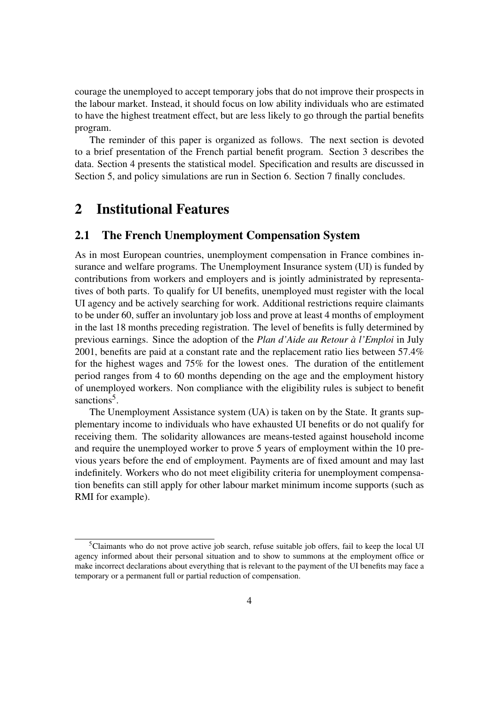courage the unemployed to accept temporary jobs that do not improve their prospects in the labour market. Instead, it should focus on low ability individuals who are estimated to have the highest treatment effect, but are less likely to go through the partial benefits program.

The reminder of this paper is organized as follows. The next section is devoted to a brief presentation of the French partial benefit program. Section [3](#page-5-0) describes the data. Section [4](#page-6-0) presents the statistical model. Specification and results are discussed in Section [5,](#page-12-0) and policy simulations are run in Section [6.](#page-17-0) Section [7](#page-19-0) finally concludes.

### 2 Institutional Features

### 2.1 The French Unemployment Compensation System

As in most European countries, unemployment compensation in France combines insurance and welfare programs. The Unemployment Insurance system (UI) is funded by contributions from workers and employers and is jointly administrated by representatives of both parts. To qualify for UI benefits, unemployed must register with the local UI agency and be actively searching for work. Additional restrictions require claimants to be under 60, suffer an involuntary job loss and prove at least 4 months of employment in the last 18 months preceding registration. The level of benefits is fully determined by previous earnings. Since the adoption of the *Plan d'Aide au Retour à l'Emploi* in July 2001, benefits are paid at a constant rate and the replacement ratio lies between 57.4% for the highest wages and 75% for the lowest ones. The duration of the entitlement period ranges from 4 to 60 months depending on the age and the employment history of unemployed workers. Non compliance with the eligibility rules is subject to benefit sanctions<sup>[5](#page-3-0)</sup>.

The Unemployment Assistance system (UA) is taken on by the State. It grants supplementary income to individuals who have exhausted UI benefits or do not qualify for receiving them. The solidarity allowances are means-tested against household income and require the unemployed worker to prove 5 years of employment within the 10 previous years before the end of employment. Payments are of fixed amount and may last indefinitely. Workers who do not meet eligibility criteria for unemployment compensation benefits can still apply for other labour market minimum income supports (such as RMI for example).

<span id="page-3-0"></span><sup>5</sup>Claimants who do not prove active job search, refuse suitable job offers, fail to keep the local UI agency informed about their personal situation and to show to summons at the employment office or make incorrect declarations about everything that is relevant to the payment of the UI benefits may face a temporary or a permanent full or partial reduction of compensation.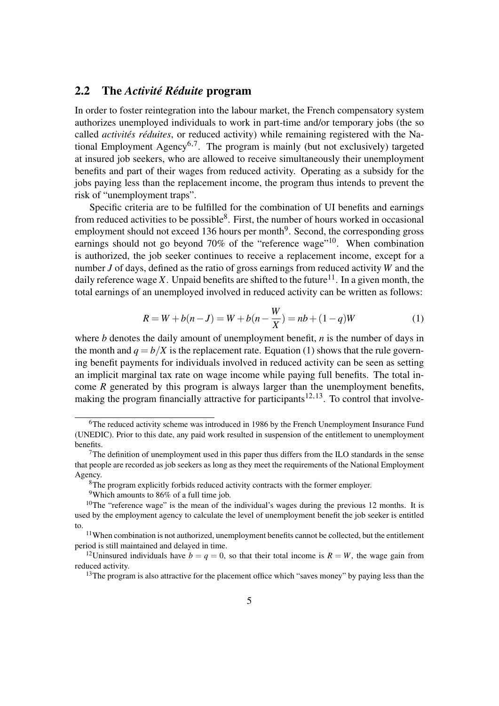#### <span id="page-4-9"></span>2.2 The *Activité Réduite* program

In order to foster reintegration into the labour market, the French compensatory system authorizes unemployed individuals to work in part-time and/or temporary jobs (the so called *activités réduites*, or reduced activity) while remaining registered with the Na-tional Employment Agency<sup>[6](#page-4-0)[,7](#page-4-1)</sup>. The program is mainly (but not exclusively) targeted at insured job seekers, who are allowed to receive simultaneously their unemployment benefits and part of their wages from reduced activity. Operating as a subsidy for the jobs paying less than the replacement income, the program thus intends to prevent the risk of "unemployment traps".

Specific criteria are to be fulfilled for the combination of UI benefits and earnings from reduced activities to be possible<sup>[8](#page-4-2)</sup>. First, the number of hours worked in occasional employment should not exceed 136 hours per month<sup>[9](#page-4-3)</sup>. Second, the corresponding gross earnings should not go beyond 70% of the "reference wage"<sup>[10](#page-4-4)</sup>. When combination is authorized, the job seeker continues to receive a replacement income, except for a number *J* of days, defined as the ratio of gross earnings from reduced activity *W* and the daily reference wage *X*. Unpaid benefits are shifted to the future<sup>[11](#page-4-5)</sup>. In a given month, the total earnings of an unemployed involved in reduced activity can be written as follows:

<span id="page-4-6"></span>
$$
R = W + b(n - J) = W + b(n - \frac{W}{X}) = nb + (1 - q)W
$$
\n(1)

where *b* denotes the daily amount of unemployment benefit, *n* is the number of days in the month and  $q = b/X$  is the replacement rate. Equation [\(1\)](#page-4-6) shows that the rule governing benefit payments for individuals involved in reduced activity can be seen as setting an implicit marginal tax rate on wage income while paying full benefits. The total income *R* generated by this program is always larger than the unemployment benefits, making the program financially attractive for participants<sup>[12](#page-4-7)[,13](#page-4-8)</sup>. To control that involve-

<span id="page-4-0"></span><sup>6</sup>The reduced activity scheme was introduced in 1986 by the French Unemployment Insurance Fund (UNEDIC). Prior to this date, any paid work resulted in suspension of the entitlement to unemployment benefits.

<span id="page-4-1"></span> $<sup>7</sup>$ The definition of unemployment used in this paper thus differs from the ILO standards in the sense</sup> that people are recorded as job seekers as long as they meet the requirements of the National Employment Agency.

<span id="page-4-2"></span><sup>8</sup>The program explicitly forbids reduced activity contracts with the former employer.

<span id="page-4-4"></span><span id="page-4-3"></span><sup>9</sup>Which amounts to 86% of a full time job.

<sup>&</sup>lt;sup>10</sup>The "reference wage" is the mean of the individual's wages during the previous 12 months. It is used by the employment agency to calculate the level of unemployment benefit the job seeker is entitled to.

<span id="page-4-5"></span> $11$ When combination is not authorized, unemployment benefits cannot be collected, but the entitlement period is still maintained and delayed in time.

<span id="page-4-7"></span><sup>&</sup>lt;sup>12</sup>Uninsured individuals have  $b = q = 0$ , so that their total income is  $R = W$ , the wage gain from reduced activity.

<span id="page-4-8"></span><sup>&</sup>lt;sup>13</sup>The program is also attractive for the placement office which "saves money" by paying less than the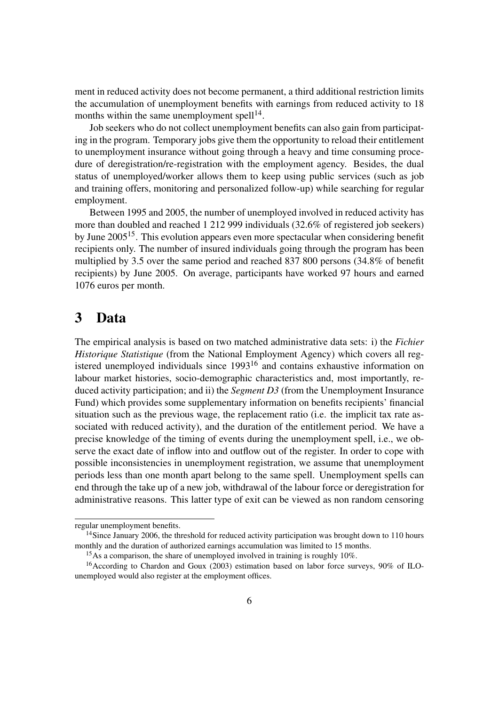ment in reduced activity does not become permanent, a third additional restriction limits the accumulation of unemployment benefits with earnings from reduced activity to 18 months within the same unemployment spell $1<sup>4</sup>$ .

Job seekers who do not collect unemployment benefits can also gain from participating in the program. Temporary jobs give them the opportunity to reload their entitlement to unemployment insurance without going through a heavy and time consuming procedure of deregistration/re-registration with the employment agency. Besides, the dual status of unemployed/worker allows them to keep using public services (such as job and training offers, monitoring and personalized follow-up) while searching for regular employment.

Between 1995 and 2005, the number of unemployed involved in reduced activity has more than doubled and reached 1 212 999 individuals (32.6% of registered job seekers) by June  $2005^{15}$  $2005^{15}$  $2005^{15}$ . This evolution appears even more spectacular when considering benefit recipients only. The number of insured individuals going through the program has been multiplied by 3.5 over the same period and reached 837 800 persons (34.8% of benefit recipients) by June 2005. On average, participants have worked 97 hours and earned 1076 euros per month.

### <span id="page-5-0"></span>3 Data

The empirical analysis is based on two matched administrative data sets: i) the *Fichier Historique Statistique* (from the National Employment Agency) which covers all registered unemployed individuals since  $1993^{16}$  $1993^{16}$  $1993^{16}$  and contains exhaustive information on labour market histories, socio-demographic characteristics and, most importantly, reduced activity participation; and ii) the *Segment D3* (from the Unemployment Insurance Fund) which provides some supplementary information on benefits recipients' financial situation such as the previous wage, the replacement ratio (i.e. the implicit tax rate associated with reduced activity), and the duration of the entitlement period. We have a precise knowledge of the timing of events during the unemployment spell, i.e., we observe the exact date of inflow into and outflow out of the register. In order to cope with possible inconsistencies in unemployment registration, we assume that unemployment periods less than one month apart belong to the same spell. Unemployment spells can end through the take up of a new job, withdrawal of the labour force or deregistration for administrative reasons. This latter type of exit can be viewed as non random censoring

regular unemployment benefits.

<span id="page-5-1"></span><sup>&</sup>lt;sup>14</sup>Since January 2006, the threshold for reduced activity participation was brought down to 110 hours monthly and the duration of authorized earnings accumulation was limited to 15 months.

<span id="page-5-3"></span><span id="page-5-2"></span><sup>&</sup>lt;sup>15</sup>As a comparison, the share of unemployed involved in training is roughly 10%.

<sup>&</sup>lt;sup>16</sup> According to [Chardon and Goux](#page-21-10) [\(2003\)](#page-21-10) estimation based on labor force surveys, 90% of ILOunemployed would also register at the employment offices.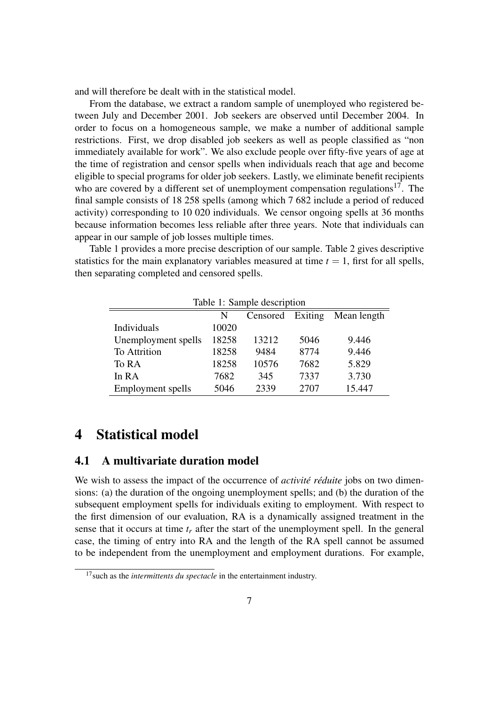and will therefore be dealt with in the statistical model.

From the database, we extract a random sample of unemployed who registered between July and December 2001. Job seekers are observed until December 2004. In order to focus on a homogeneous sample, we make a number of additional sample restrictions. First, we drop disabled job seekers as well as people classified as "non immediately available for work". We also exclude people over fifty-five years of age at the time of registration and censor spells when individuals reach that age and become eligible to special programs for older job seekers. Lastly, we eliminate benefit recipients who are covered by a different set of unemployment compensation regulations<sup>[17](#page-6-1)</sup>. The final sample consists of 18 258 spells (among which 7 682 include a period of reduced activity) corresponding to 10 020 individuals. We censor ongoing spells at 36 months because information becomes less reliable after three years. Note that individuals can appear in our sample of job losses multiple times.

Table [1](#page-6-2) provides a more precise description of our sample. Table [2](#page-7-0) gives descriptive statistics for the main explanatory variables measured at time  $t = 1$ , first for all spells, then separating completed and censored spells.

<span id="page-6-2"></span>

| Table 1: Sample description          |       |       |      |        |  |  |  |
|--------------------------------------|-------|-------|------|--------|--|--|--|
| Censored Exiting<br>Mean length<br>N |       |       |      |        |  |  |  |
| Individuals                          | 10020 |       |      |        |  |  |  |
| Unemployment spells                  | 18258 | 13212 | 5046 | 9.446  |  |  |  |
| <b>To Attrition</b>                  | 18258 | 9484  | 8774 | 9.446  |  |  |  |
| To RA                                | 18258 | 10576 | 7682 | 5.829  |  |  |  |
| In RA                                | 7682  | 345   | 7337 | 3.730  |  |  |  |
| Employment spells                    | 5046  | 2339  | 2707 | 15.447 |  |  |  |

### <span id="page-6-0"></span>4 Statistical model

#### 4.1 A multivariate duration model

We wish to assess the impact of the occurrence of *activité réduite* jobs on two dimensions: (a) the duration of the ongoing unemployment spells; and (b) the duration of the subsequent employment spells for individuals exiting to employment. With respect to the first dimension of our evaluation, RA is a dynamically assigned treatment in the sense that it occurs at time  $t_r$  after the start of the unemployment spell. In the general case, the timing of entry into RA and the length of the RA spell cannot be assumed to be independent from the unemployment and employment durations. For example,

<span id="page-6-1"></span><sup>&</sup>lt;sup>17</sup> such as the *intermittents du spectacle* in the entertainment industry.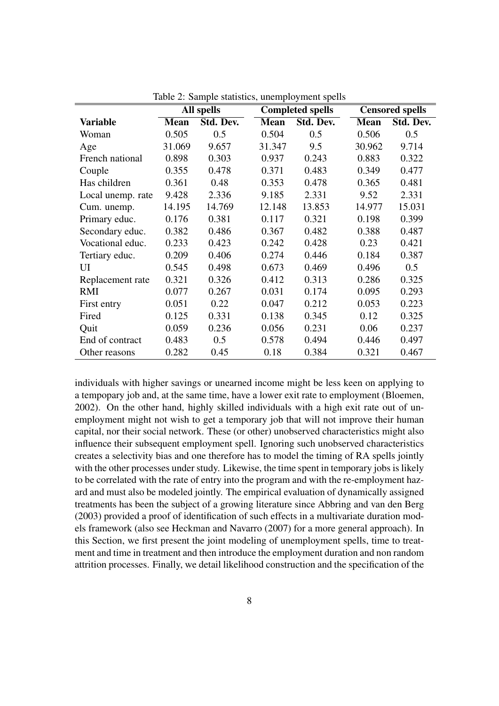|                   |             | <b>Completed spells</b><br>All spells |             |           | <b>Censored spells</b> |           |
|-------------------|-------------|---------------------------------------|-------------|-----------|------------------------|-----------|
| <b>Variable</b>   | <b>Mean</b> | Std. Dev.                             | <b>Mean</b> | Std. Dev. | <b>Mean</b>            | Std. Dev. |
| Woman             | 0.505       | 0.5                                   | 0.504       | 0.5       | 0.506                  | 0.5       |
| Age               | 31.069      | 9.657                                 | 31.347      | 9.5       | 30.962                 | 9.714     |
| French national   | 0.898       | 0.303                                 | 0.937       | 0.243     | 0.883                  | 0.322     |
| Couple            | 0.355       | 0.478                                 | 0.371       | 0.483     | 0.349                  | 0.477     |
| Has children      | 0.361       | 0.48                                  | 0.353       | 0.478     | 0.365                  | 0.481     |
| Local unemp. rate | 9.428       | 2.336                                 | 9.185       | 2.331     | 9.52                   | 2.331     |
| Cum. unemp.       | 14.195      | 14.769                                | 12.148      | 13.853    | 14.977                 | 15.031    |
| Primary educ.     | 0.176       | 0.381                                 | 0.117       | 0.321     | 0.198                  | 0.399     |
| Secondary educ.   | 0.382       | 0.486                                 | 0.367       | 0.482     | 0.388                  | 0.487     |
| Vocational educ.  | 0.233       | 0.423                                 | 0.242       | 0.428     | 0.23                   | 0.421     |
| Tertiary educ.    | 0.209       | 0.406                                 | 0.274       | 0.446     | 0.184                  | 0.387     |
| UI                | 0.545       | 0.498                                 | 0.673       | 0.469     | 0.496                  | 0.5       |
| Replacement rate  | 0.321       | 0.326                                 | 0.412       | 0.313     | 0.286                  | 0.325     |
| <b>RMI</b>        | 0.077       | 0.267                                 | 0.031       | 0.174     | 0.095                  | 0.293     |
| First entry       | 0.051       | 0.22                                  | 0.047       | 0.212     | 0.053                  | 0.223     |
| Fired             | 0.125       | 0.331                                 | 0.138       | 0.345     | 0.12                   | 0.325     |
| Quit              | 0.059       | 0.236                                 | 0.056       | 0.231     | 0.06                   | 0.237     |
| End of contract   | 0.483       | 0.5                                   | 0.578       | 0.494     | 0.446                  | 0.497     |
| Other reasons     | 0.282       | 0.45                                  | 0.18        | 0.384     | 0.321                  | 0.467     |

<span id="page-7-0"></span>Table 2: Sample statistics, unemployment spells

individuals with higher savings or unearned income might be less keen on applying to a tempopary job and, at the same time, have a lower exit rate to employment [\(Bloemen,](#page-20-5) [2002\)](#page-20-5). On the other hand, highly skilled individuals with a high exit rate out of unemployment might not wish to get a temporary job that will not improve their human capital, nor their social network. These (or other) unobserved characteristics might also influence their subsequent employment spell. Ignoring such unobserved characteristics creates a selectivity bias and one therefore has to model the timing of RA spells jointly with the other processes under study. Likewise, the time spent in temporary jobs is likely to be correlated with the rate of entry into the program and with the re-employment hazard and must also be modeled jointly. The empirical evaluation of dynamically assigned treatments has been the subject of a growing literature since [Abbring and van den Berg](#page-20-4) [\(2003\)](#page-20-4) provided a proof of identification of such effects in a multivariate duration models framework (also see [Heckman and Navarro](#page-21-11) [\(2007\)](#page-21-11) for a more general approach). In this Section, we first present the joint modeling of unemployment spells, time to treatment and time in treatment and then introduce the employment duration and non random attrition processes. Finally, we detail likelihood construction and the specification of the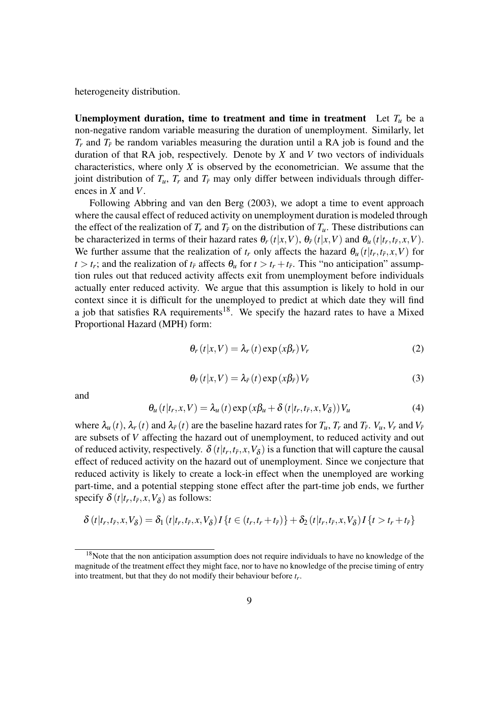heterogeneity distribution.

**Unemployment duration, time to treatment and time in treatment** Let  $T_u$  be a non-negative random variable measuring the duration of unemployment. Similarly, let  $T_r$  and  $T_{\bar{r}}$  be random variables measuring the duration until a RA job is found and the duration of that RA job, respectively. Denote by *X* and *V* two vectors of individuals characteristics, where only *X* is observed by the econometrician. We assume that the joint distribution of  $T_u$ ,  $T_r$  and  $T_{\bar{r}}$  may only differ between individuals through differences in *X* and *V*.

Following [Abbring and van den Berg](#page-20-4) [\(2003\)](#page-20-4), we adopt a time to event approach where the causal effect of reduced activity on unemployment duration is modeled through the effect of the realization of  $T_r$  and  $T_{\bar{r}}$  on the distribution of  $T_u$ . These distributions can be characterized in terms of their hazard rates  $\theta_r(t|x,V)$ ,  $\theta_{\bar{r}}(t|x,V)$  and  $\theta_u(t|t_r,t_{\bar{r}},x,V)$ . We further assume that the realization of  $t_r$  only affects the hazard  $\theta_u(t|t_r,t_{\bar{r}},x,V)$  for  $t > t_r$ ; and the realization of  $t_{\bar{r}}$  affects  $\theta_u$  for  $t > t_r + t_{\bar{r}}$ . This "no anticipation" assumption rules out that reduced activity affects exit from unemployment before individuals actually enter reduced activity. We argue that this assumption is likely to hold in our context since it is difficult for the unemployed to predict at which date they will find a job that satisfies RA requirements<sup>[18](#page-8-0)</sup>. We specify the hazard rates to have a Mixed Proportional Hazard (MPH) form:

$$
\theta_r(t|x,V) = \lambda_r(t) \exp(x\beta_r) V_r \tag{2}
$$

$$
\theta_{\bar{r}}(t|x,V) = \lambda_{\bar{r}}(t) \exp(x\beta_{\bar{r}}) V_{\bar{r}}
$$
\n(3)

and

<span id="page-8-1"></span>
$$
\theta_{u}(t|t_{r}, x, V) = \lambda_{u}(t) \exp(x\beta_{u} + \delta(t|t_{r}, t_{\bar{r}}, x, V_{\delta})) V_{u}
$$
\n(4)

where  $\lambda_u(t)$ ,  $\lambda_r(t)$  and  $\lambda_{\bar{r}}(t)$  are the baseline hazard rates for  $T_u$ ,  $T_r$  and  $T_{\bar{r}}$ .  $V_u$ ,  $V_r$  and  $V_{\bar{r}}$ are subsets of *V* affecting the hazard out of unemployment, to reduced activity and out of reduced activity, respectively.  $\delta(t|t_r,t_{\bar{r}},x,V_{\delta})$  is a function that will capture the causal effect of reduced activity on the hazard out of unemployment. Since we conjecture that reduced activity is likely to create a lock-in effect when the unemployed are working part-time, and a potential stepping stone effect after the part-time job ends, we further specify  $\delta(t|t_r,t_{\bar{r}},x,V_{\delta})$  as follows:

$$
\delta(t|t_r,t_{\bar{r}},x,V_{\delta})=\delta_1(t|t_r,t_{\bar{r}},x,V_{\delta})I\{t\in(t_r,t_r+t_{\bar{r}})\}+\delta_2(t|t_r,t_{\bar{r}},x,V_{\delta})I\{t>t_r+t_{\bar{r}}\}
$$

<span id="page-8-0"></span> $18$ Note that the non anticipation assumption does not require individuals to have no knowledge of the magnitude of the treatment effect they might face, nor to have no knowledge of the precise timing of entry into treatment, but that they do not modify their behaviour before *t<sup>r</sup>* .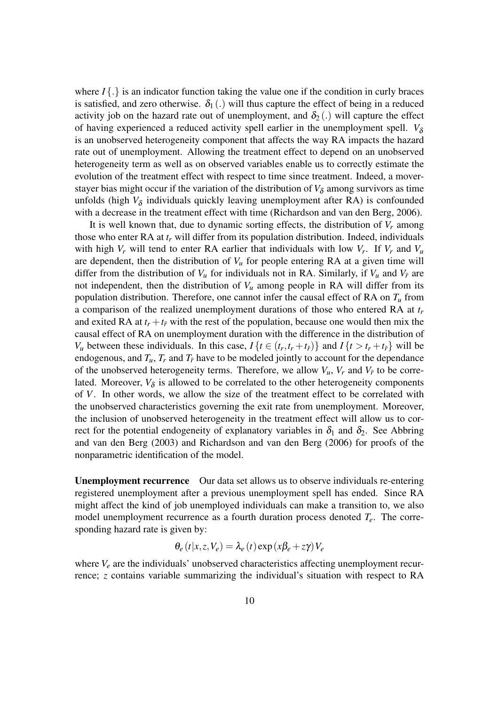where  $I\{\cdot\}$  is an indicator function taking the value one if the condition in curly braces is satisfied, and zero otherwise.  $\delta_1(.)$  will thus capture the effect of being in a reduced activity job on the hazard rate out of unemployment, and  $\delta_2(.)$  will capture the effect of having experienced a reduced activity spell earlier in the unemployment spell.  $V_{\delta}$ is an unobserved heterogeneity component that affects the way RA impacts the hazard rate out of unemployment. Allowing the treatment effect to depend on an unobserved heterogeneity term as well as on observed variables enable us to correctly estimate the evolution of the treatment effect with respect to time since treatment. Indeed, a moverstayer bias might occur if the variation of the distribution of  $V_{\delta}$  among survivors as time unfolds (high  $V_{\delta}$  individuals quickly leaving unemployment after RA) is confounded with a decrease in the treatment effect with time [\(Richardson and van den Berg,](#page-22-8) [2006\)](#page-22-8).

It is well known that, due to dynamic sorting effects, the distribution of *V<sup>r</sup>* among those who enter RA at *t<sup>r</sup>* will differ from its population distribution. Indeed, individuals with high  $V_r$  will tend to enter RA earlier that individuals with low  $V_r$ . If  $V_r$  and  $V_u$ are dependent, then the distribution of  $V<sub>u</sub>$  for people entering RA at a given time will differ from the distribution of  $V_u$  for individuals not in RA. Similarly, if  $V_u$  and  $V_{\bar{r}}$  are not independent, then the distribution of  $V_u$  among people in RA will differ from its population distribution. Therefore, one cannot infer the causal effect of RA on *T<sup>u</sup>* from a comparison of the realized unemployment durations of those who entered RA at *t<sup>r</sup>* and exited RA at  $t_r + t_{\bar{r}}$  with the rest of the population, because one would then mix the causal effect of RA on unemployment duration with the difference in the distribution of *V<sub>u</sub>* between these individuals. In this case,  $I\{t \in (t_r, t_r + t_{\bar{r}})\}\$  and  $I\{t > t_r + t_{\bar{r}}\}\$  will be endogenous, and  $T_u$ ,  $T_r$  and  $T_{\bar{r}}$  have to be modeled jointly to account for the dependance of the unobserved heterogeneity terms. Therefore, we allow  $V_u$ ,  $V_r$  and  $V_{\bar{r}}$  to be correlated. Moreover,  $V_{\delta}$  is allowed to be correlated to the other heterogeneity components of *V*. In other words, we allow the size of the treatment effect to be correlated with the unobserved characteristics governing the exit rate from unemployment. Moreover, the inclusion of unobserved heterogeneity in the treatment effect will allow us to correct for the potential endogeneity of explanatory variables in  $\delta_1$  and  $\delta_2$ . See [Abbring](#page-20-4) [and van den Berg](#page-20-4) [\(2003\)](#page-20-4) and [Richardson and van den Berg](#page-22-8) [\(2006\)](#page-22-8) for proofs of the nonparametric identification of the model.

Unemployment recurrence Our data set allows us to observe individuals re-entering registered unemployment after a previous unemployment spell has ended. Since RA might affect the kind of job unemployed individuals can make a transition to, we also model unemployment recurrence as a fourth duration process denoted *Te*. The corresponding hazard rate is given by:

$$
\theta_e(t|x,z,V_e) = \lambda_e(t) \exp(x\beta_e + z\gamma) V_e
$$

where  $V_e$  are the individuals' unobserved characteristics affecting unemployment recurrence; *z* contains variable summarizing the individual's situation with respect to RA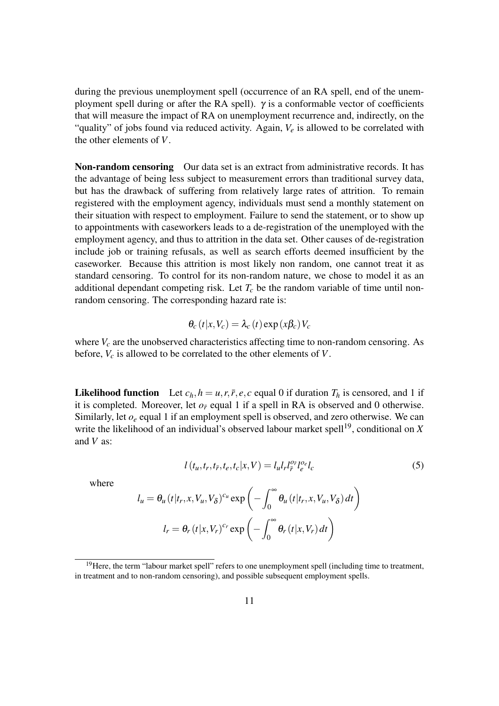during the previous unemployment spell (occurrence of an RA spell, end of the unemployment spell during or after the RA spell).  $\gamma$  is a conformable vector of coefficients that will measure the impact of RA on unemployment recurrence and, indirectly, on the "quality" of jobs found via reduced activity. Again, *V<sup>e</sup>* is allowed to be correlated with the other elements of *V*.

**Non-random censoring** Our data set is an extract from administrative records. It has the advantage of being less subject to measurement errors than traditional survey data, but has the drawback of suffering from relatively large rates of attrition. To remain registered with the employment agency, individuals must send a monthly statement on their situation with respect to employment. Failure to send the statement, or to show up to appointments with caseworkers leads to a de-registration of the unemployed with the employment agency, and thus to attrition in the data set. Other causes of de-registration include job or training refusals, as well as search efforts deemed insufficient by the caseworker. Because this attrition is most likely non random, one cannot treat it as standard censoring. To control for its non-random nature, we chose to model it as an additional dependant competing risk. Let  $T_c$  be the random variable of time until nonrandom censoring. The corresponding hazard rate is:

$$
\theta_c(t|x,V_c) = \lambda_c(t) \exp(x\beta_c) V_c
$$

where  $V_c$  are the unobserved characteristics affecting time to non-random censoring. As before, *V<sup>c</sup>* is allowed to be correlated to the other elements of *V*.

**Likelihood function** Let  $c_h$ ,  $h = u$ ,  $r$ ,  $\bar{r}$ ,  $e$ ,  $c$  equal 0 if duration  $T_h$  is censored, and 1 if it is completed. Moreover, let  $o<sub>F</sub>$  equal 1 if a spell in RA is observed and 0 otherwise. Similarly, let *o<sup>e</sup>* equal 1 if an employment spell is observed, and zero otherwise. We can write the likelihood of an individual's observed labour market spell<sup>[19](#page-10-0)</sup>, conditional on  $X$ and *V* as:

<span id="page-10-1"></span>
$$
l(t_u, t_r, t_{\bar{r}}, t_e, t_c | x, V) = l_u l_r l_{\bar{r}}^{\rho_{\bar{r}}} l_e^{\rho_e} l_c
$$
\n(5)

where

$$
l_u = \theta_u (t | t_r, x, V_u, V_\delta)^{c_u} \exp \left(-\int_0^\infty \theta_u (t | t_r, x, V_u, V_\delta) dt\right)
$$

$$
l_r = \theta_r (t | x, V_r)^{c_r} \exp \left(-\int_0^\infty \theta_r (t | x, V_r) dt\right)
$$

<span id="page-10-0"></span><sup>&</sup>lt;sup>19</sup>Here, the term "labour market spell" refers to one unemployment spell (including time to treatment, in treatment and to non-random censoring), and possible subsequent employment spells.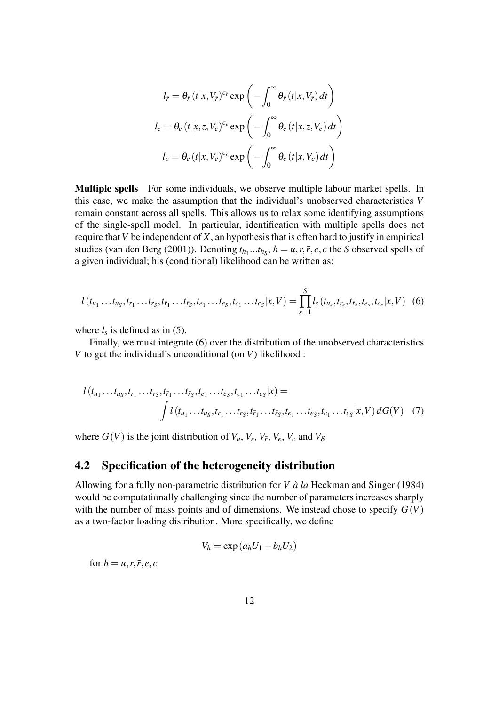$$
l_{\bar{r}} = \theta_{\bar{r}} (t|x, V_{\bar{r}})^{c_{\bar{r}}} \exp \left(-\int_0^\infty \theta_{\bar{r}} (t|x, V_{\bar{r}}) dt\right)
$$
  

$$
l_e = \theta_e (t|x, z, V_e)^{c_e} \exp \left(-\int_0^\infty \theta_e (t|x, z, V_e) dt\right)
$$
  

$$
l_c = \theta_c (t|x, V_c)^{c_c} \exp \left(-\int_0^\infty \theta_c (t|x, V_c) dt\right)
$$

Multiple spells For some individuals, we observe multiple labour market spells. In this case, we make the assumption that the individual's unobserved characteristics *V* remain constant across all spells. This allows us to relax some identifying assumptions of the single-spell model. In particular, identification with multiple spells does not require that*V* be independent of *X*, an hypothesis that is often hard to justify in empirical studies [\(van den Berg](#page-22-9) [\(2001\)](#page-22-9)). Denoting  $t_{h_1} \dots t_{h_S}$ ,  $h = u, r, \bar{r}, e, c$  the *S* observed spells of a given individual; his (conditional) likelihood can be written as:

<span id="page-11-0"></span>
$$
l(t_{u_1} \ldots t_{u_S}, t_{r_1} \ldots t_{r_S}, t_{\bar{r}_1} \ldots t_{\bar{r}_S}, t_{e_1} \ldots t_{e_S}, t_{c_1} \ldots t_{c_S} | x, V) = \prod_{s=1}^S l_s(t_{u_s}, t_{r_s}, t_{\bar{r}_s}, t_{e_s}, t_{c_s} | x, V) \tag{6}
$$

where  $l_s$  is defined as in [\(5\)](#page-10-1).

Finally, we must integrate [\(6\)](#page-11-0) over the distribution of the unobserved characteristics *V* to get the individual's unconditional (on *V*) likelihood :

$$
l(t_{u_1} \ldots t_{u_S}, t_{r_1} \ldots t_{r_S}, t_{\bar{r}_1} \ldots t_{\bar{r}_S}, t_{e_1} \ldots t_{e_S}, t_{c_1} \ldots t_{c_S} | x) =
$$
  

$$
\int l(t_{u_1} \ldots t_{u_S}, t_{r_1} \ldots t_{r_S}, t_{\bar{r}_1} \ldots t_{\bar{r}_S}, t_{e_1} \ldots t_{e_S}, t_{c_1} \ldots t_{c_S} | x, V) dG(V) \quad (7)
$$

where  $G(V)$  is the joint distribution of  $V_u$ ,  $V_r$ ,  $V_{\bar{r}}$ ,  $V_e$ ,  $V_c$  and  $V_{\delta}$ 

#### 4.2 Specification of the heterogeneity distribution

Allowing for a fully non-parametric distribution for *V à la* [Heckman and Singer](#page-21-12) [\(1984\)](#page-21-12) would be computationally challenging since the number of parameters increases sharply with the number of mass points and of dimensions. We instead chose to specify  $G(V)$ as a two-factor loading distribution. More specifically, we define

<span id="page-11-1"></span>
$$
V_h = \exp\left(a_h U_1 + b_h U_2\right)
$$

for  $h = u, r, \overline{r}, e, c$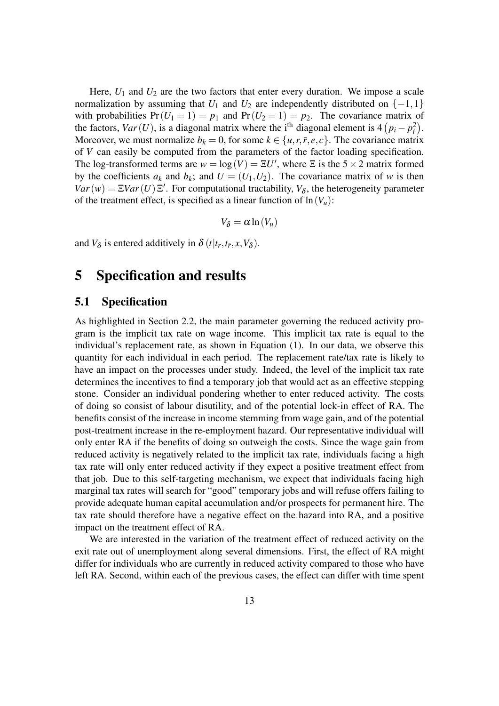Here,  $U_1$  and  $U_2$  are the two factors that enter every duration. We impose a scale normalization by assuming that  $U_1$  and  $U_2$  are independently distributed on  $\{-1,1\}$ with probabilities  $Pr(U_1 = 1) = p_1$  and  $Pr(U_2 = 1) = p_2$ . The covariance matrix of the factors,  $Var(U)$ , is a diagonal matrix where the i<sup>th</sup> diagonal element is  $4(p_i - p_i^2)$ . Moreover, we must normalize  $b_k = 0$ , for some  $k \in \{u, r, \bar{r}, e, c\}$ . The covariance matrix of *V* can easily be computed from the parameters of the factor loading specification. The log-transformed terms are  $w = \log(V) = \Xi U'$ , where  $\Xi$  is the  $5 \times 2$  matrix formed by the coefficients  $a_k$  and  $b_k$ ; and  $U = (U_1, U_2)$ . The covariance matrix of *w* is then  $Var(w) = \Xi Var(U) \Xi'$ . For computational tractability,  $V_{\delta}$ , the heterogeneity parameter of the treatment effect, is specified as a linear function of  $\ln(V_u)$ :

$$
V_{\delta} = \alpha \ln(V_u)
$$

and  $V_{\delta}$  is entered additively in  $\delta(t|t_r,t_{\bar{r}},x,V_{\delta})$ .

## <span id="page-12-0"></span>5 Specification and results

#### 5.1 Specification

As highlighted in Section [2.2,](#page-4-9) the main parameter governing the reduced activity program is the implicit tax rate on wage income. This implicit tax rate is equal to the individual's replacement rate, as shown in Equation [\(1\)](#page-4-6). In our data, we observe this quantity for each individual in each period. The replacement rate/tax rate is likely to have an impact on the processes under study. Indeed, the level of the implicit tax rate determines the incentives to find a temporary job that would act as an effective stepping stone. Consider an individual pondering whether to enter reduced activity. The costs of doing so consist of labour disutility, and of the potential lock-in effect of RA. The benefits consist of the increase in income stemming from wage gain, and of the potential post-treatment increase in the re-employment hazard. Our representative individual will only enter RA if the benefits of doing so outweigh the costs. Since the wage gain from reduced activity is negatively related to the implicit tax rate, individuals facing a high tax rate will only enter reduced activity if they expect a positive treatment effect from that job. Due to this self-targeting mechanism, we expect that individuals facing high marginal tax rates will search for "good" temporary jobs and will refuse offers failing to provide adequate human capital accumulation and/or prospects for permanent hire. The tax rate should therefore have a negative effect on the hazard into RA, and a positive impact on the treatment effect of RA.

We are interested in the variation of the treatment effect of reduced activity on the exit rate out of unemployment along several dimensions. First, the effect of RA might differ for individuals who are currently in reduced activity compared to those who have left RA. Second, within each of the previous cases, the effect can differ with time spent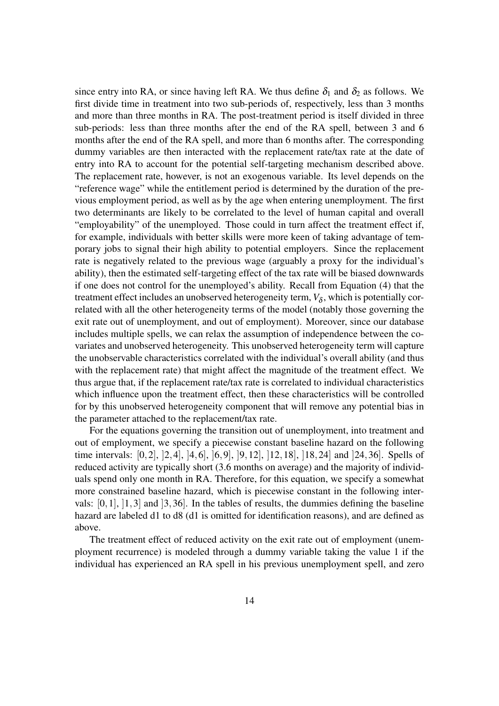since entry into RA, or since having left RA. We thus define  $\delta_1$  and  $\delta_2$  as follows. We first divide time in treatment into two sub-periods of, respectively, less than 3 months and more than three months in RA. The post-treatment period is itself divided in three sub-periods: less than three months after the end of the RA spell, between 3 and 6 months after the end of the RA spell, and more than 6 months after. The corresponding dummy variables are then interacted with the replacement rate/tax rate at the date of entry into RA to account for the potential self-targeting mechanism described above. The replacement rate, however, is not an exogenous variable. Its level depends on the "reference wage" while the entitlement period is determined by the duration of the previous employment period, as well as by the age when entering unemployment. The first two determinants are likely to be correlated to the level of human capital and overall "employability" of the unemployed. Those could in turn affect the treatment effect if, for example, individuals with better skills were more keen of taking advantage of temporary jobs to signal their high ability to potential employers. Since the replacement rate is negatively related to the previous wage (arguably a proxy for the individual's ability), then the estimated self-targeting effect of the tax rate will be biased downwards if one does not control for the unemployed's ability. Recall from Equation [\(4\)](#page-8-1) that the treatment effect includes an unobserved heterogeneity term,  $V_{\delta}$ , which is potentially correlated with all the other heterogeneity terms of the model (notably those governing the exit rate out of unemployment, and out of employment). Moreover, since our database includes multiple spells, we can relax the assumption of independence between the covariates and unobserved heterogeneity. This unobserved heterogeneity term will capture the unobservable characteristics correlated with the individual's overall ability (and thus with the replacement rate) that might affect the magnitude of the treatment effect. We thus argue that, if the replacement rate/tax rate is correlated to individual characteristics which influence upon the treatment effect, then these characteristics will be controlled for by this unobserved heterogeneity component that will remove any potential bias in the parameter attached to the replacement/tax rate.

For the equations governing the transition out of unemployment, into treatment and out of employment, we specify a piecewise constant baseline hazard on the following time intervals: [0,2], ]2,4], ]4,6], ]6,9], ]9,12], ]12,18], ]18,24] and ]24,36]. Spells of reduced activity are typically short (3.6 months on average) and the majority of individuals spend only one month in RA. Therefore, for this equation, we specify a somewhat more constrained baseline hazard, which is piecewise constant in the following intervals:  $[0,1]$ ,  $[1,3]$  and  $[3,36]$ . In the tables of results, the dummies defining the baseline hazard are labeled d1 to d8 (d1 is omitted for identification reasons), and are defined as above.

The treatment effect of reduced activity on the exit rate out of employment (unemployment recurrence) is modeled through a dummy variable taking the value 1 if the individual has experienced an RA spell in his previous unemployment spell, and zero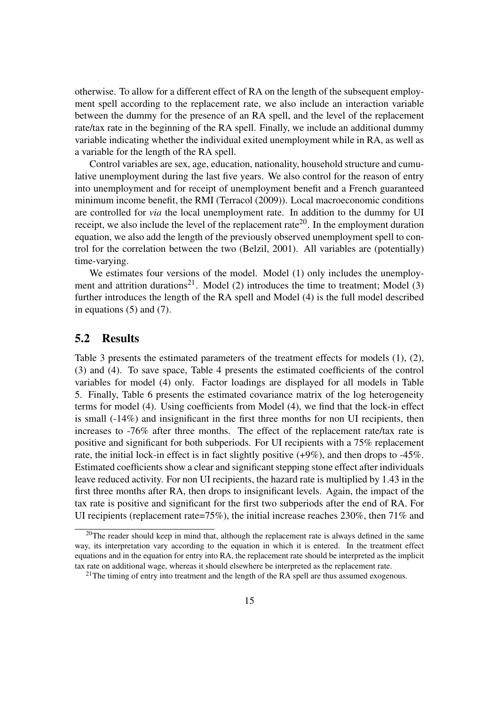otherwise. To allow for a different effect of RA on the length of the subsequent employment spell according to the replacement rate, we also include an interaction variable between the dummy for the presence of an RA spell, and the level of the replacement rate/tax rate in the beginning of the RA spell. Finally, we include an additional dummy variable indicating whether the individual exited unemployment while in RA, as well as a variable for the length of the RA spell.

Control variables are sex, age, education, nationality, household structure and cumulative unemployment during the last five years. We also control for the reason of entry into unemployment and for receipt of unemployment benefit and a French guaranteed minimum income benefit, the RMI [\(Terracol](#page-22-10) [\(2009\)](#page-22-10)). Local macroeconomic conditions are controlled for *via* the local unemployment rate. In addition to the dummy for UI receipt, we also include the level of the replacement rate<sup>[20](#page-14-0)</sup>. In the employment duration equation, we also add the length of the previously observed unemployment spell to control for the correlation between the two [\(Belzil,](#page-20-6) [2001\)](#page-20-6). All variables are (potentially) time-varying.

We estimates four versions of the model. Model (1) only includes the unemploy-ment and attrition durations<sup>[21](#page-14-1)</sup>. Model (2) introduces the time to treatment; Model (3) further introduces the length of the RA spell and Model (4) is the full model described in equations [\(5\)](#page-10-1) and [\(7\)](#page-11-1).

### 5.2 Results

Table [3](#page-16-0) presents the estimated parameters of the treatment effects for models (1), (2), (3) and (4). To save space, Table [4](#page-23-0) presents the estimated coefficients of the control variables for model (4) only. Factor loadings are displayed for all models in Table [5.](#page-24-0) Finally, Table [6](#page-24-1) presents the estimated covariance matrix of the log heterogeneity terms for model (4). Using coefficients from Model (4), we find that the lock-in effect is small (-14%) and insignificant in the first three months for non UI recipients, then increases to -76% after three months. The effect of the replacement rate/tax rate is positive and significant for both subperiods. For UI recipients with a 75% replacement rate, the initial lock-in effect is in fact slightly positive (+9%), and then drops to -45%. Estimated coefficients show a clear and significant stepping stone effect after individuals leave reduced activity. For non UI recipients, the hazard rate is multiplied by 1.43 in the first three months after RA, then drops to insignificant levels. Again, the impact of the tax rate is positive and significant for the first two subperiods after the end of RA. For UI recipients (replacement rate=75%), the initial increase reaches 230%, then 71% and

<span id="page-14-0"></span><sup>&</sup>lt;sup>20</sup>The reader should keep in mind that, although the replacement rate is always defined in the same way, its interpretation vary according to the equation in which it is entered. In the treatment effect equations and in the equation for entry into RA, the replacement rate should be interpreted as the implicit tax rate on additional wage, whereas it should elsewhere be interpreted as the replacement rate.

<span id="page-14-1"></span> $21$ The timing of entry into treatment and the length of the RA spell are thus assumed exogenous.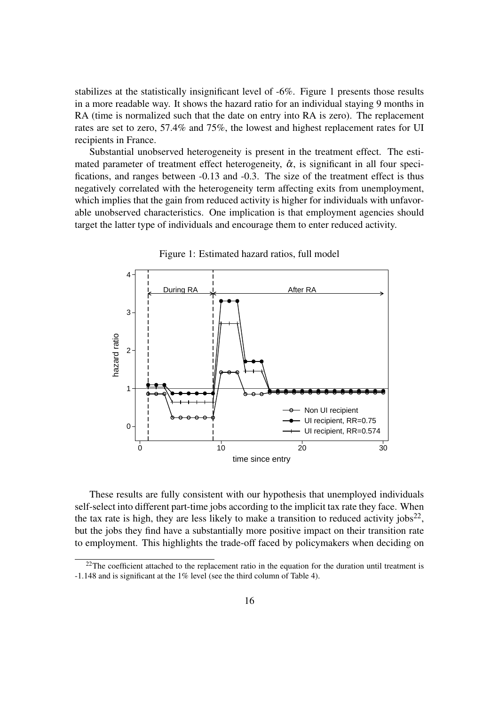stabilizes at the statistically insignificant level of -6%. Figure [1](#page-15-0) presents those results in a more readable way. It shows the hazard ratio for an individual staying 9 months in RA (time is normalized such that the date on entry into RA is zero). The replacement rates are set to zero, 57.4% and 75%, the lowest and highest replacement rates for UI recipients in France.

Substantial unobserved heterogeneity is present in the treatment effect. The estimated parameter of treatment effect heterogeneity,  $\hat{\alpha}$ , is significant in all four specifications, and ranges between -0.13 and -0.3. The size of the treatment effect is thus negatively correlated with the heterogeneity term affecting exits from unemployment, which implies that the gain from reduced activity is higher for individuals with unfavorable unobserved characteristics. One implication is that employment agencies should target the latter type of individuals and encourage them to enter reduced activity.



<span id="page-15-0"></span>Figure 1: Estimated hazard ratios, full model

These results are fully consistent with our hypothesis that unemployed individuals self-select into different part-time jobs according to the implicit tax rate they face. When the tax rate is high, they are less likely to make a transition to reduced activity jobs<sup>[22](#page-15-1)</sup>, but the jobs they find have a substantially more positive impact on their transition rate to employment. This highlights the trade-off faced by policymakers when deciding on

<span id="page-15-1"></span> $^{22}$ The coefficient attached to the replacement ratio in the equation for the duration until treatment is -1.148 and is significant at the 1% level (see the third column of Table [4\)](#page-23-0).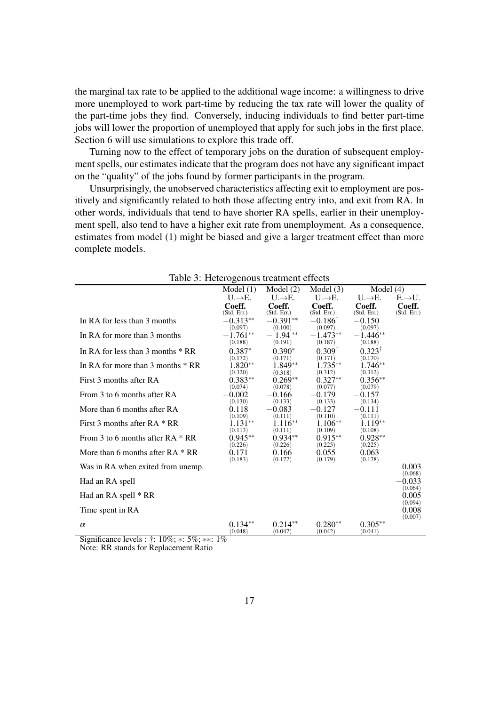the marginal tax rate to be applied to the additional wage income: a willingness to drive more unemployed to work part-time by reducing the tax rate will lower the quality of the part-time jobs they find. Conversely, inducing individuals to find better part-time jobs will lower the proportion of unemployed that apply for such jobs in the first place. Section [6](#page-17-0) will use simulations to explore this trade off.

Turning now to the effect of temporary jobs on the duration of subsequent employment spells, our estimates indicate that the program does not have any significant impact on the "quality" of the jobs found by former participants in the program.

Unsurprisingly, the unobserved characteristics affecting exit to employment are positively and significantly related to both those affecting entry into, and exit from RA. In other words, individuals that tend to have shorter RA spells, earlier in their unemployment spell, also tend to have a higher exit rate from unemployment. As a consequence, estimates from model (1) might be biased and give a larger treatment effect than more complete models.

|                                     | Model $(1)$                             | Model(2)                  | Model $(3)$                          | Model $(4)$                  |                     |
|-------------------------------------|-----------------------------------------|---------------------------|--------------------------------------|------------------------------|---------------------|
|                                     | $U \rightarrow E.$                      | $U \rightarrow E.$        | $U \rightarrow E.$                   | $U \rightarrow E.$           | $E \rightarrow U.$  |
|                                     | Coeff.                                  | Coeff.                    | Coeff.                               | Coeff.                       | Coeff.              |
| In RA for less than 3 months        | (Std. Err.)<br>$-0.313**$               | (Std. Err.)<br>$-0.391**$ | (Std. Err.)<br>$-0.186$ <sup>T</sup> | (Std. Err.)<br>$-0.150$      | (Std. Err.)         |
|                                     | (0.097)                                 | (0.100)                   | (0.097)                              | (0.097)                      |                     |
| In RA for more than 3 months        | $-1.761**$<br>(0.188)                   | $-1.94**$<br>(0.191)      | $-1.473**$<br>(0.187)                | $-1.446**$<br>(0.188)        |                     |
| In RA for less than 3 months $*$ RR | $0.387*$<br>(0.172)                     | $0.390*$<br>(0.171)       | $0.309^{\dagger}$<br>(0.171)         | $0.323^{\dagger}$<br>(0.170) |                     |
| In RA for more than 3 months $*$ RR | $1.820**$<br>(0.320)                    | 1.849**<br>(0.318)        | $1.735***$<br>(0.312)                | 1.746**<br>(0.312)           |                     |
| First 3 months after RA             | $0.383**$<br>(0.074)                    | $0.269**$<br>(0.078)      | $0.327**$<br>(0.077)                 | $0.356**$<br>(0.079)         |                     |
| From 3 to 6 months after RA         | 0.002<br>(0.130)                        | $-0.166$<br>(0.133)       | -0.179<br>(0.133)                    | -0.157<br>(0.134)            |                     |
| More than 6 months after RA         | 0.118<br>(0.109)                        | 0.083<br>(0.111)          | $-0.127$<br>(0.110)                  | -0.111<br>(0.111)            |                     |
| First 3 months after $RA * RR$      | 1.131**<br>(0.113)                      | $1.116**$<br>(0.111)      | $1.106**$<br>(0.109)                 | 1.119**<br>(0.108)           |                     |
| From 3 to 6 months after $RA * RR$  | $0.945**$<br>(0.226)                    | $0.934**$<br>(0.226)      | $0.915**$<br>(0.225)                 | $0.928**$<br>(0.225)         |                     |
| More than 6 months after $RA * RR$  | 0.171<br>(0.183)                        | 0.166<br>(0.177)          | 0.055<br>(0.179)                     | 0.063<br>(0.178)             |                     |
| Was in RA when exited from unemp.   |                                         |                           |                                      |                              | 0.003<br>(0.068)    |
| Had an RA spell                     |                                         |                           |                                      |                              | $-0.033$<br>(0.064) |
| Had an RA spell * RR                |                                         |                           |                                      |                              | 0.005<br>(0.094)    |
| Time spent in RA                    |                                         |                           |                                      |                              | 0.008<br>(0.007)    |
| $\alpha$                            | $-0.134**$<br>(0.048)<br>$\overline{1}$ | $-0.214**$<br>(0.047)     | $-0.280**$<br>(0.042)                | $-0.305**$<br>(0.041)        |                     |

<span id="page-16-0"></span>

|  | Table 3: Heterogenous treatment effects |  |  |
|--|-----------------------------------------|--|--|
|--|-----------------------------------------|--|--|

Significance levels : †: 10%; ∗: 5%; ∗∗: 1% Note: RR stands for Replacement Ratio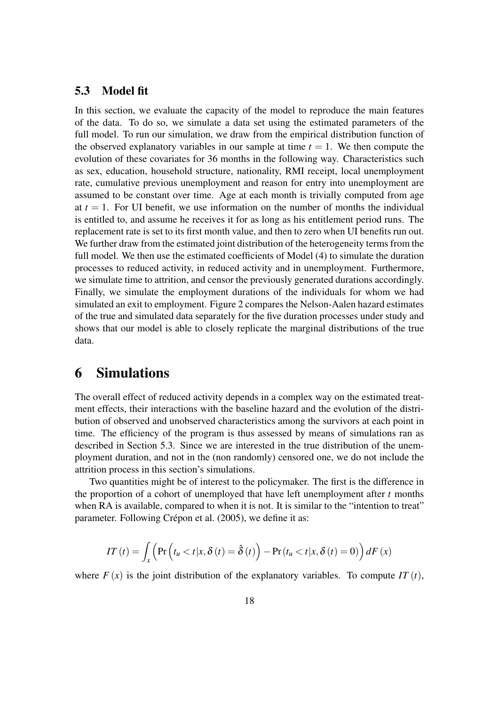#### <span id="page-17-1"></span>5.3 Model fit

In this section, we evaluate the capacity of the model to reproduce the main features of the data. To do so, we simulate a data set using the estimated parameters of the full model. To run our simulation, we draw from the empirical distribution function of the observed explanatory variables in our sample at time  $t = 1$ . We then compute the evolution of these covariates for 36 months in the following way. Characteristics such as sex, education, household structure, nationality, RMI receipt, local unemployment rate, cumulative previous unemployment and reason for entry into unemployment are assumed to be constant over time. Age at each month is trivially computed from age at  $t = 1$ . For UI benefit, we use information on the number of months the individual is entitled to, and assume he receives it for as long as his entitlement period runs. The replacement rate is set to its first month value, and then to zero when UI benefits run out. We further draw from the estimated joint distribution of the heterogeneity terms from the full model. We then use the estimated coefficients of Model (4) to simulate the duration processes to reduced activity, in reduced activity and in unemployment. Furthermore, we simulate time to attrition, and censor the previously generated durations accordingly. Finally, we simulate the employment durations of the individuals for whom we had simulated an exit to employment. Figure [2](#page-25-0) compares the Nelson-Aalen hazard estimates of the true and simulated data separately for the five duration processes under study and shows that our model is able to closely replicate the marginal distributions of the true data.

### <span id="page-17-0"></span>6 Simulations

The overall effect of reduced activity depends in a complex way on the estimated treatment effects, their interactions with the baseline hazard and the evolution of the distribution of observed and unobserved characteristics among the survivors at each point in time. The efficiency of the program is thus assessed by means of simulations ran as described in Section [5.3.](#page-17-1) Since we are interested in the true distribution of the unemployment duration, and not in the (non randomly) censored one, we do not include the attrition process in this section's simulations.

Two quantities might be of interest to the policymaker. The first is the difference in the proportion of a cohort of unemployed that have left unemployment after *t* months when RA is available, compared to when it is not. It is similar to the "intention to treat" parameter. Following [Crépon et al.](#page-21-13) [\(2005\)](#page-21-13), we define it as:

$$
IT(t) = \int_{x} \left( \Pr\left(t_{u} < t | x, \delta\left(t\right) = \hat{\delta}\left(t\right) \right) - \Pr\left(t_{u} < t | x, \delta\left(t\right) = 0\right) \right) dF\left(x\right)
$$

where  $F(x)$  is the joint distribution of the explanatory variables. To compute *IT* (*t*),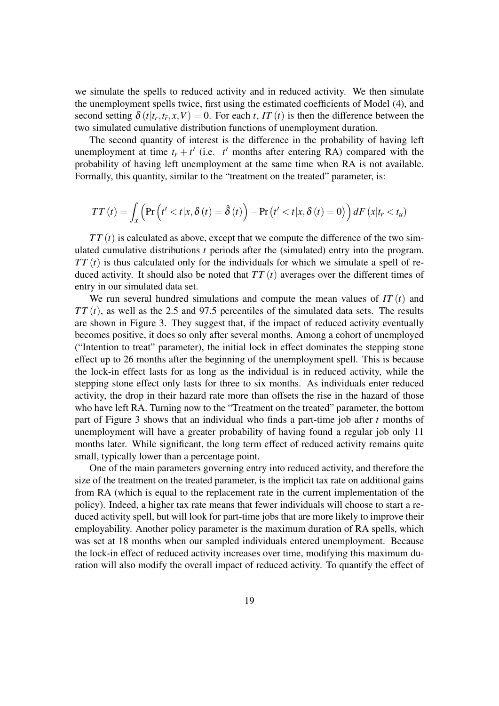we simulate the spells to reduced activity and in reduced activity. We then simulate the unemployment spells twice, first using the estimated coefficients of Model (4), and second setting  $\delta(t|t_r,t_{\bar{r}},x,V) = 0$ . For each *t*, *IT* (*t*) is then the difference between the two simulated cumulative distribution functions of unemployment duration.

The second quantity of interest is the difference in the probability of having left unemployment at time  $t_r + t'$  (i.e.  $t'$  months after entering RA) compared with the probability of having left unemployment at the same time when RA is not available. Formally, this quantity, similar to the "treatment on the treated" parameter, is:

$$
TT(t) = \int_{x} \left( \Pr\left(t' < t | x, \delta\left(t\right) = \hat{\delta}\left(t\right) \right) - \Pr\left(t' < t | x, \delta\left(t\right) = 0\right) \right) dF\left(x | t_r < t_u\right)
$$

 $TT(t)$  is calculated as above, except that we compute the difference of the two simulated cumulative distributions *t* periods after the (simulated) entry into the program.  $TT(t)$  is thus calculated only for the individuals for which we simulate a spell of reduced activity. It should also be noted that  $TT(t)$  averages over the different times of entry in our simulated data set.

We run several hundred simulations and compute the mean values of *IT* (*t*) and  $TT(t)$ , as well as the 2.5 and 97.5 percentiles of the simulated data sets. The results are shown in Figure [3.](#page-26-0) They suggest that, if the impact of reduced activity eventually becomes positive, it does so only after several months. Among a cohort of unemployed ("Intention to treat" parameter), the initial lock in effect dominates the stepping stone effect up to 26 months after the beginning of the unemployment spell. This is because the lock-in effect lasts for as long as the individual is in reduced activity, while the stepping stone effect only lasts for three to six months. As individuals enter reduced activity, the drop in their hazard rate more than offsets the rise in the hazard of those who have left RA. Turning now to the "Treatment on the treated" parameter, the bottom part of Figure [3](#page-26-0) shows that an individual who finds a part-time job after *t* months of unemployment will have a greater probability of having found a regular job only 11 months later. While significant, the long term effect of reduced activity remains quite small, typically lower than a percentage point.

One of the main parameters governing entry into reduced activity, and therefore the size of the treatment on the treated parameter, is the implicit tax rate on additional gains from RA (which is equal to the replacement rate in the current implementation of the policy). Indeed, a higher tax rate means that fewer individuals will choose to start a reduced activity spell, but will look for part-time jobs that are more likely to improve their employability. Another policy parameter is the maximum duration of RA spells, which was set at 18 months when our sampled individuals entered unemployment. Because the lock-in effect of reduced activity increases over time, modifying this maximum duration will also modify the overall impact of reduced activity. To quantify the effect of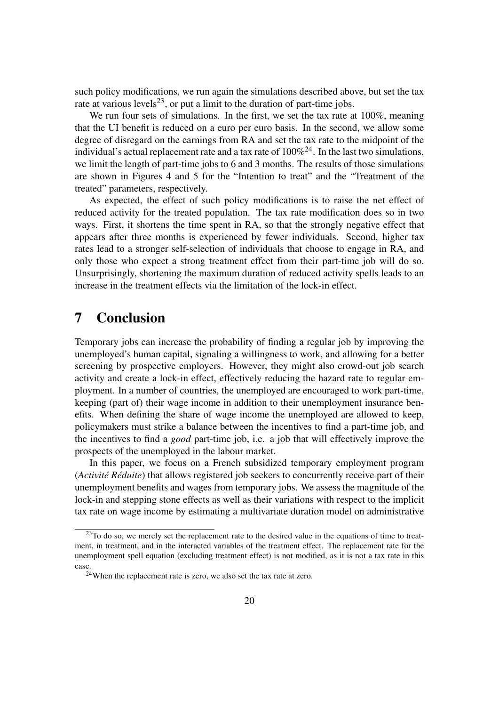such policy modifications, we run again the simulations described above, but set the tax rate at various levels<sup>[23](#page-19-1)</sup>, or put a limit to the duration of part-time jobs.

We run four sets of simulations. In the first, we set the tax rate at 100%, meaning that the UI benefit is reduced on a euro per euro basis. In the second, we allow some degree of disregard on the earnings from RA and set the tax rate to the midpoint of the individual's actual replacement rate and a tax rate of  $100\%^{24}$  $100\%^{24}$  $100\%^{24}$ . In the last two simulations, we limit the length of part-time jobs to 6 and 3 months. The results of those simulations are shown in Figures [4](#page-27-0) and [5](#page-28-0) for the "Intention to treat" and the "Treatment of the treated" parameters, respectively.

As expected, the effect of such policy modifications is to raise the net effect of reduced activity for the treated population. The tax rate modification does so in two ways. First, it shortens the time spent in RA, so that the strongly negative effect that appears after three months is experienced by fewer individuals. Second, higher tax rates lead to a stronger self-selection of individuals that choose to engage in RA, and only those who expect a strong treatment effect from their part-time job will do so. Unsurprisingly, shortening the maximum duration of reduced activity spells leads to an increase in the treatment effects via the limitation of the lock-in effect.

### <span id="page-19-0"></span>7 Conclusion

Temporary jobs can increase the probability of finding a regular job by improving the unemployed's human capital, signaling a willingness to work, and allowing for a better screening by prospective employers. However, they might also crowd-out job search activity and create a lock-in effect, effectively reducing the hazard rate to regular employment. In a number of countries, the unemployed are encouraged to work part-time, keeping (part of) their wage income in addition to their unemployment insurance benefits. When defining the share of wage income the unemployed are allowed to keep, policymakers must strike a balance between the incentives to find a part-time job, and the incentives to find a *good* part-time job, i.e. a job that will effectively improve the prospects of the unemployed in the labour market.

In this paper, we focus on a French subsidized temporary employment program (*Activité Réduite*) that allows registered job seekers to concurrently receive part of their unemployment benefits and wages from temporary jobs. We assess the magnitude of the lock-in and stepping stone effects as well as their variations with respect to the implicit tax rate on wage income by estimating a multivariate duration model on administrative

<span id="page-19-1"></span><sup>&</sup>lt;sup>23</sup>To do so, we merely set the replacement rate to the desired value in the equations of time to treatment, in treatment, and in the interacted variables of the treatment effect. The replacement rate for the unemployment spell equation (excluding treatment effect) is not modified, as it is not a tax rate in this case.

<span id="page-19-2"></span> $24$ When the replacement rate is zero, we also set the tax rate at zero.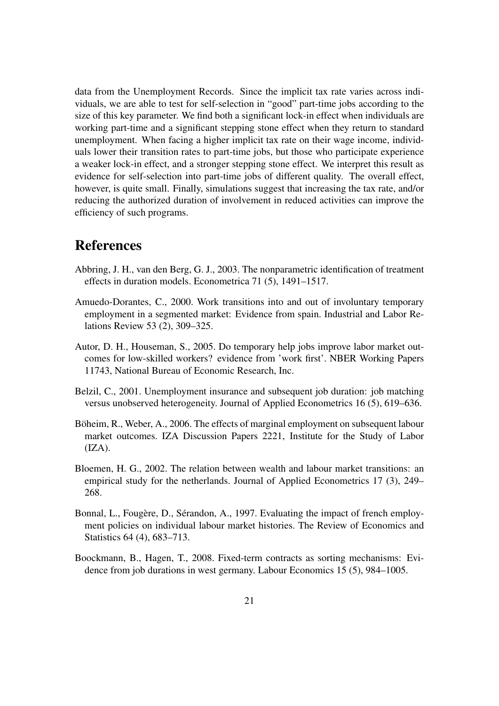data from the Unemployment Records. Since the implicit tax rate varies across individuals, we are able to test for self-selection in "good" part-time jobs according to the size of this key parameter. We find both a significant lock-in effect when individuals are working part-time and a significant stepping stone effect when they return to standard unemployment. When facing a higher implicit tax rate on their wage income, individuals lower their transition rates to part-time jobs, but those who participate experience a weaker lock-in effect, and a stronger stepping stone effect. We interpret this result as evidence for self-selection into part-time jobs of different quality. The overall effect, however, is quite small. Finally, simulations suggest that increasing the tax rate, and/or reducing the authorized duration of involvement in reduced activities can improve the efficiency of such programs.

### References

- <span id="page-20-4"></span>Abbring, J. H., van den Berg, G. J., 2003. The nonparametric identification of treatment effects in duration models. Econometrica 71 (5), 1491–1517.
- <span id="page-20-2"></span>Amuedo-Dorantes, C., 2000. Work transitions into and out of involuntary temporary employment in a segmented market: Evidence from spain. Industrial and Labor Relations Review 53 (2), 309–325.
- <span id="page-20-1"></span>Autor, D. H., Houseman, S., 2005. Do temporary help jobs improve labor market outcomes for low-skilled workers? evidence from 'work first'. NBER Working Papers 11743, National Bureau of Economic Research, Inc.
- <span id="page-20-6"></span>Belzil, C., 2001. Unemployment insurance and subsequent job duration: job matching versus unobserved heterogeneity. Journal of Applied Econometrics 16 (5), 619–636.
- <span id="page-20-3"></span>Böheim, R., Weber, A., 2006. The effects of marginal employment on subsequent labour market outcomes. IZA Discussion Papers 2221, Institute for the Study of Labor  $(IZA).$
- <span id="page-20-5"></span>Bloemen, H. G., 2002. The relation between wealth and labour market transitions: an empirical study for the netherlands. Journal of Applied Econometrics 17 (3), 249– 268.
- Bonnal, L., Fougère, D., Sérandon, A., 1997. Evaluating the impact of french employment policies on individual labour market histories. The Review of Economics and Statistics 64 (4), 683–713.
- <span id="page-20-0"></span>Boockmann, B., Hagen, T., 2008. Fixed-term contracts as sorting mechanisms: Evidence from job durations in west germany. Labour Economics 15 (5), 984–1005.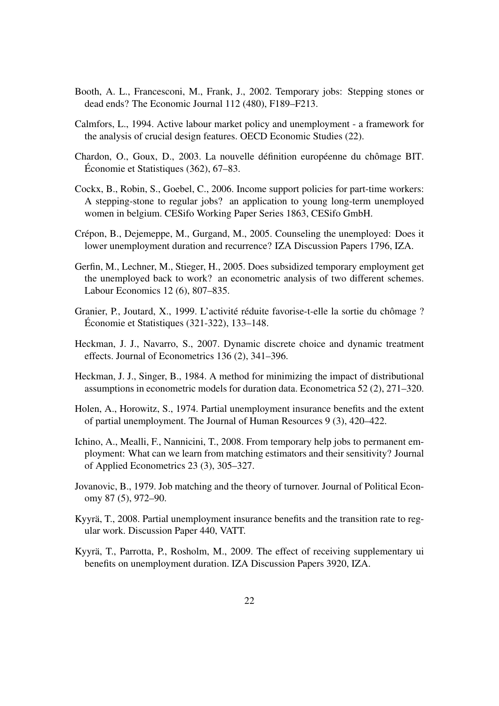- <span id="page-21-1"></span>Booth, A. L., Francesconi, M., Frank, J., 2002. Temporary jobs: Stepping stones or dead ends? The Economic Journal 112 (480), F189–F213.
- <span id="page-21-3"></span>Calmfors, L., 1994. Active labour market policy and unemployment - a framework for the analysis of crucial design features. OECD Economic Studies (22).
- <span id="page-21-10"></span>Chardon, O., Goux, D., 2003. La nouvelle définition européenne du chômage BIT. Économie et Statistiques (362), 67–83.
- <span id="page-21-6"></span>Cockx, B., Robin, S., Goebel, C., 2006. Income support policies for part-time workers: A stepping-stone to regular jobs? an application to young long-term unemployed women in belgium. CESifo Working Paper Series 1863, CESifo GmbH.
- <span id="page-21-13"></span>Crépon, B., Dejemeppe, M., Gurgand, M., 2005. Counseling the unemployed: Does it lower unemployment duration and recurrence? IZA Discussion Papers 1796, IZA.
- <span id="page-21-5"></span>Gerfin, M., Lechner, M., Stieger, H., 2005. Does subsidized temporary employment get the unemployed back to work? an econometric analysis of two different schemes. Labour Economics 12 (6), 807–835.
- <span id="page-21-9"></span>Granier, P., Joutard, X., 1999. L'activité réduite favorise-t-elle la sortie du chômage ? Économie et Statistiques (321-322), 133–148.
- <span id="page-21-11"></span>Heckman, J. J., Navarro, S., 2007. Dynamic discrete choice and dynamic treatment effects. Journal of Econometrics 136 (2), 341–396.
- <span id="page-21-12"></span>Heckman, J. J., Singer, B., 1984. A method for minimizing the impact of distributional assumptions in econometric models for duration data. Econometrica 52 (2), 271–320.
- <span id="page-21-4"></span>Holen, A., Horowitz, S., 1974. Partial unemployment insurance benefits and the extent of partial unemployment. The Journal of Human Resources 9 (3), 420–422.
- <span id="page-21-2"></span>Ichino, A., Mealli, F., Nannicini, T., 2008. From temporary help jobs to permanent employment: What can we learn from matching estimators and their sensitivity? Journal of Applied Econometrics 23 (3), 305–327.
- <span id="page-21-0"></span>Jovanovic, B., 1979. Job matching and the theory of turnover. Journal of Political Economy 87 (5), 972–90.
- <span id="page-21-7"></span>Kyyrä, T., 2008. Partial unemployment insurance benefits and the transition rate to regular work. Discussion Paper 440, VATT.
- <span id="page-21-8"></span>Kyyrä, T., Parrotta, P., Rosholm, M., 2009. The effect of receiving supplementary ui benefits on unemployment duration. IZA Discussion Papers 3920, IZA.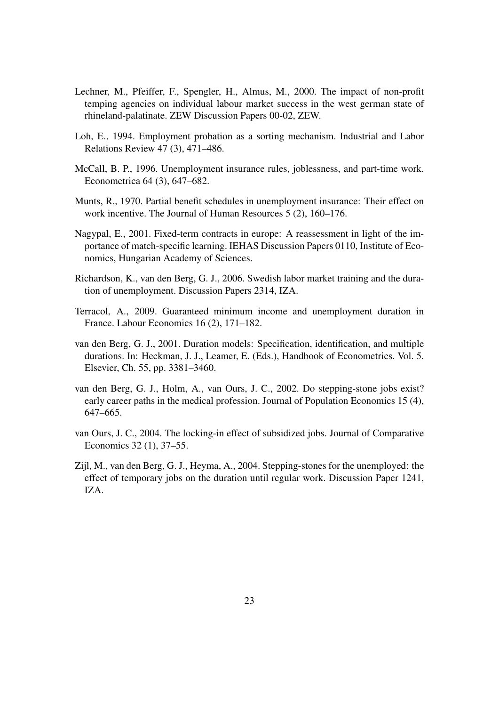- <span id="page-22-2"></span>Lechner, M., Pfeiffer, F., Spengler, H., Almus, M., 2000. The impact of non-profit temping agencies on individual labour market success in the west german state of rhineland-palatinate. ZEW Discussion Papers 00-02, ZEW.
- <span id="page-22-0"></span>Loh, E., 1994. Employment probation as a sorting mechanism. Industrial and Labor Relations Review 47 (3), 471–486.
- <span id="page-22-3"></span>McCall, B. P., 1996. Unemployment insurance rules, joblessness, and part-time work. Econometrica 64 (3), 647–682.
- <span id="page-22-4"></span>Munts, R., 1970. Partial benefit schedules in unemployment insurance: Their effect on work incentive. The Journal of Human Resources 5 (2), 160–176.
- <span id="page-22-1"></span>Nagypal, E., 2001. Fixed-term contracts in europe: A reassessment in light of the importance of match-specific learning. IEHAS Discussion Papers 0110, Institute of Economics, Hungarian Academy of Sciences.
- <span id="page-22-8"></span>Richardson, K., van den Berg, G. J., 2006. Swedish labor market training and the duration of unemployment. Discussion Papers 2314, IZA.
- <span id="page-22-10"></span>Terracol, A., 2009. Guaranteed minimum income and unemployment duration in France. Labour Economics 16 (2), 171–182.
- <span id="page-22-9"></span>van den Berg, G. J., 2001. Duration models: Specification, identification, and multiple durations. In: Heckman, J. J., Leamer, E. (Eds.), Handbook of Econometrics. Vol. 5. Elsevier, Ch. 55, pp. 3381–3460.
- <span id="page-22-6"></span>van den Berg, G. J., Holm, A., van Ours, J. C., 2002. Do stepping-stone jobs exist? early career paths in the medical profession. Journal of Population Economics 15 (4), 647–665.
- <span id="page-22-5"></span>van Ours, J. C., 2004. The locking-in effect of subsidized jobs. Journal of Comparative Economics 32 (1), 37–55.
- <span id="page-22-7"></span>Zijl, M., van den Berg, G. J., Heyma, A., 2004. Stepping-stones for the unemployed: the effect of temporary jobs on the duration until regular work. Discussion Paper 1241, IZA.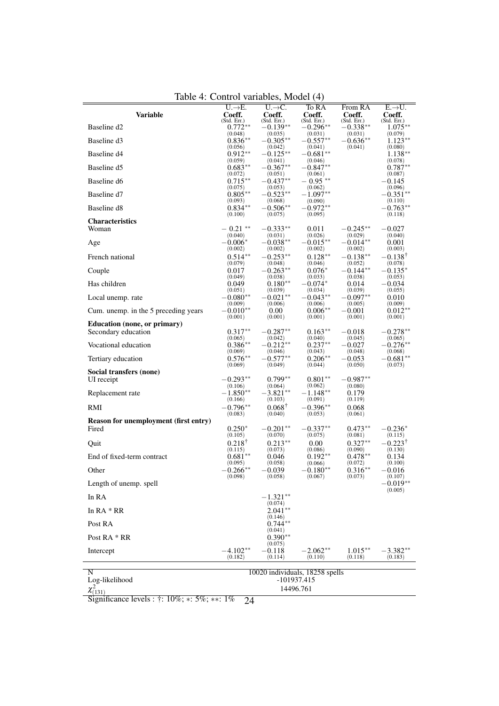| Variable                              | $U \rightarrow E.$<br>Coeff. | $U \rightarrow C.$<br>Coeff. | To RA<br>Coeff.                 | From RA<br>Coeff.         | $E \rightarrow U.$<br>Coeff.   |
|---------------------------------------|------------------------------|------------------------------|---------------------------------|---------------------------|--------------------------------|
| Baseline d2                           | (Std. Err.)<br>$0.772**$     | (Std. Err.)<br>$-0.139**$    | (Std. Err.)<br>$-0.296**$       | (Std. Err.)<br>$-0.338**$ | (Std. Err.)<br>$1.075**$       |
| Baseline d3                           | (0.048)<br>$0.836**$         | (0.035)<br>$-0.305**$        | (0.031)<br>$-0.557**$           | (0.031)<br>$-0.636**$     | (0.079)<br>$1.123**$           |
|                                       | (0.056)                      | (0.042)                      | (0.041)                         | (0.041)                   | (0.080)                        |
| Baseline d <sub>4</sub>               | $0.912**$<br>(0.059)         | $-0.125**$<br>(0.041)        | $-0.681**$<br>(0.046)           |                           | $1.138**$<br>(0.078)           |
| Baseline d5                           | $0.683**$                    | $-0.367**$                   | $-0.847^{\ast\ast}$             |                           | $0.787**$                      |
| Baseline d6                           | (0.072)<br>$0.715***$        | (0.051)<br>$-0.437**$        | (0.061)<br>$-0.95**$            |                           | (0.087)<br>$-0.145$            |
| Baseline d7                           | (0.075)<br>$0.805**$         | (0.053)<br>$-0.523**$        | (0.062)<br>$-1.097**$           |                           | (0.096)<br>$-0.351**$          |
| Baseline d8                           | (0.093)<br>$0.834**$         | (0.068)<br>$-0.506**$        | (0.090)<br>$-0.972**$           |                           | (0.110)<br>$-0.763**$          |
|                                       | (0.100)                      | (0.075)                      | (0.095)                         |                           | (0.118)                        |
| <b>Characteristics</b><br>Woman       | $-0.21$ **                   | $-0.333**$                   | 0.011                           | $-0.245**$                | $-0.027$                       |
|                                       | (0.040)                      | (0.031)                      | (0.026)                         | (0.029)                   | (0.040)                        |
| Age                                   | $-0.006^*$<br>(0.002)        | $-0.038**$<br>(0.002)        | $-0.015**$<br>(0.002)           | $-0.014**$<br>(0.002)     | 0.001<br>(0.003)               |
| French national                       | $0.514**$                    | $-0.253**$                   | $0.128**$                       | $-0.138**$                | $-0.138^{\dagger}$             |
| Couple                                | (0.079)<br>0.017             | (0.048)<br>$-0.263**$        | (0.046)<br>$0.076*$             | (0.052)<br>$-0.144**$     | (0.078)<br>$-0.135*$           |
|                                       | (0.049)                      | (0.038)                      | (0.033)                         | (0.038)                   | (0.053)                        |
| Has children                          | 0.049<br>(0.051)             | $0.180**$<br>(0.039)         | $-0.074*$<br>(0.034)            | 0.014<br>(0.039)          | $-0.034$<br>(0.055)            |
| Local unemp. rate                     | $-0.080**$                   | $-0.021**$                   | $-0.043**$                      | $-0.097**$                | 0.010                          |
| Cum. unemp. in the 5 preceding years  | (0.009)<br>$-0.010**$        | (0.006)<br>0.00              | (0.006)<br>$0.006**$            | (0.005)<br>$-0.001$       | (0.009)<br>$0.012**$           |
| Education (none, or primary)          | (0.001)                      | (0.001)                      | (0.001)                         | (0.001)                   | (0.001)                        |
| Secondary education                   | $0.317**$                    | $-0.287**$                   | $0.163**$                       | $-0.018$                  | $-0.278**$                     |
| Vocational education                  | (0.065)<br>$0.386**$         | (0.042)<br>$-0.212**$        | (0.040)<br>$0.237**$            | (0.045)<br>$-0.027$       | (0.065)<br>$-0.276**$          |
| Tertiary education                    | (0.069)<br>$0.576**$         | (0.046)<br>$-0.577**$        | (0.043)<br>$0.206**$            | (0.048)<br>$-0.053$       | (0.068)<br>$-0.681**$          |
|                                       | (0.069)                      | (0.049)                      | (0.044)                         | (0.050)                   | (0.073)                        |
| Social transfers (none)<br>UI receipt | $-0.293**$                   | $0.799**$                    | $0.801**$                       | $-0.987^{\ast\ast}$       |                                |
|                                       | (0.106)                      | (0.064)                      | (0.062)                         | (0.080)                   |                                |
| Replacement rate                      | $-1.850**$<br>(0.166)        | $-3.821**$<br>(0.103)        | $-1.148**$<br>(0.091)           | 0.179<br>(0.119)          |                                |
| RMI                                   | $-0.796**$<br>(0.083)        | $0.068^{\dagger}$<br>(0.040) | $-0.396**$<br>(0.053)           | 0.068<br>(0.061)          |                                |
| Reason for unemployment (first entry) |                              |                              |                                 |                           |                                |
| Fired                                 | $0.250*$<br>(0.105)          | $-0.201**$<br>(0.070)        | $-0.337**$<br>(0.075)           | $0.473**$<br>(0.081)      | $-0.236*$<br>(0.115)           |
| Quit                                  | $0.218^+$                    | $0.213**$                    | 0.00                            | $0.327**$                 | $-0.223^{\dagger}$             |
| End of fixed-term contract            | (0.115)<br>$0.681**$         | (0.073)<br>0.046             | (0.086)<br>$0.192**$            | (0.090)<br>$0.478**$      | (0.130)<br>0.134               |
| Other                                 | (0.095)<br>$-0.266**$        | (0.058)<br>$-0.039$          | (0.066)<br>$-0.180**$           | (0.072)<br>$0.316**$      | (0.100)<br>$-0.016$            |
|                                       | (0.098)                      | (0.058)                      | (0.067)                         | (0.073)                   | (0.107)                        |
| Length of unemp. spell                |                              |                              |                                 |                           | $-0.019^{\ast\ast}$<br>(0.005) |
| In RA                                 |                              | $-1.321**$<br>(0.074)        |                                 |                           |                                |
| In $RA * RR$                          |                              | $2.041**$<br>(0.146)         |                                 |                           |                                |
| Post RA                               |                              | $0.744**$                    |                                 |                           |                                |
| Post RA * RR                          |                              | (0.041)<br>$0.390**$         |                                 |                           |                                |
| Intercept                             | $-4.102**$                   | (0.075)<br>$-0.118$          | $-2.062**$                      | $1.015**$                 | $-3.382**$                     |
|                                       | (0.182)                      | (0.114)                      | (0.110)                         | (0.118)                   | (0.183)                        |
| N<br>Log-likelihood                   |                              |                              | 10020 individuals, 18258 spells |                           |                                |
|                                       | -101937.415<br>14496.761     |                              |                                 |                           |                                |

<span id="page-23-0"></span>Table 4: Control variables, Model (4)

*x*<sup>2</sup><sub>(131)</sub><br>Significance levels : †: 10%; ∗: 5%; ∗∗: 1% 24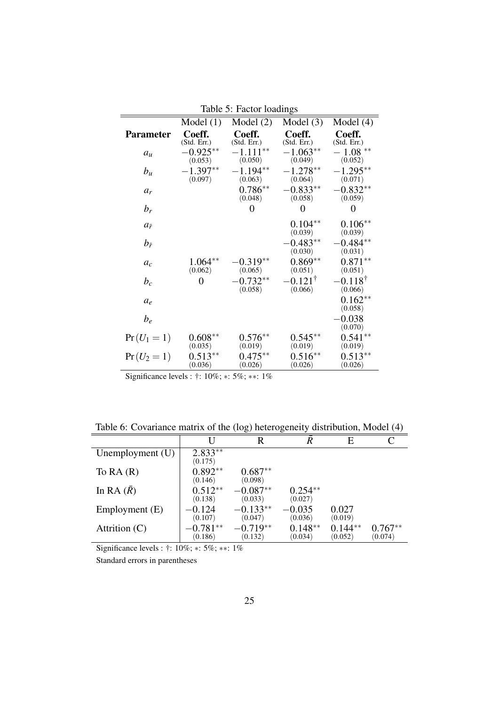|                    |                       | r actor routings      |                              |                              |
|--------------------|-----------------------|-----------------------|------------------------------|------------------------------|
|                    | Model(1)              | Model $(2)$           | Model $(3)$                  | Model $(4)$                  |
| <b>Parameter</b>   | Coeff.<br>(Std. Err.) | Coeff.<br>(Std. Err.) | Coeff.<br>(Std. Err.)        | Coeff.<br>(Std. Err.)        |
| $a_u$              | $-0.925**$<br>(0.053) | $-1.111**$<br>(0.050) | $-1.063**$<br>(0.049)        | $-1.08**$<br>(0.052)         |
| $b_u$              | $-1.397**$<br>(0.097) | $-1.194**$<br>(0.063) | $-1.278**$<br>(0.064)        | $-1.295**$<br>(0.071)        |
| $a_r$              |                       | $0.786**$<br>(0.048)  | $0.833**$<br>(0.058)         | $0.832**$<br>(0.059)         |
| $b_r$              |                       | $\overline{0}$        | 0                            | $\overline{0}$               |
| $a_{\bar{r}}$      |                       |                       | $0.104**$<br>(0.039)         | $0.106**$<br>(0.039)         |
| $b_{\bar{r}}$      |                       |                       | $-0.483**$<br>(0.030)        | $-0.484**$<br>(0.031)        |
| $a_c$              | $1.064**$<br>(0.062)  | $0.319**$<br>(0.065)  | $0.869**$<br>(0.051)         | $0.871**$<br>(0.051)         |
| $b_c$              | 0                     | $0.732**$<br>(0.058)  | $0.121^{\dagger}$<br>(0.066) | $0.118^{\dagger}$<br>(0.066) |
| $a_{\mathfrak{e}}$ |                       |                       |                              | $0.162**$<br>(0.058)         |
| $b_e$              |                       |                       |                              | 0.038<br>(0.070)             |
| $Pr(U_1 = 1)$      | $0.608**$<br>(0.035)  | $0.576**$<br>(0.019)  | $0.545**$<br>(0.019)         | $0.541**$<br>(0.019)         |
| $Pr(U_2 = 1)$      | $0.513**$<br>(0.036)  | $0.475***$<br>(0.026) | $0.516**$<br>(0.026)         | $0.513**$<br>(0.026)         |

<span id="page-24-0"></span>Table 5: Factor loadings

Significance levels : †: 10%; ∗: 5%; ∗∗: 1%

<span id="page-24-1"></span>Table 6: Covariance matrix of the (log) heterogeneity distribution, Model (4)

|                    | U                     | R                     | $\bar{R}$            | E                    |                      |
|--------------------|-----------------------|-----------------------|----------------------|----------------------|----------------------|
| Unemployment $(U)$ | $2.833**$<br>(0.175)  |                       |                      |                      |                      |
| To $RA(R)$         | $0.892**$<br>(0.146)  | $0.687**$<br>(0.098)  |                      |                      |                      |
| In RA $(\bar{R})$  | $0.512**$<br>(0.138)  | $-0.087**$<br>(0.033) | $0.254**$<br>(0.027) |                      |                      |
| Employment (E)     | $-0.124$<br>(0.107)   | $-0.133**$<br>(0.047) | $-0.035$<br>(0.036)  | 0.027<br>(0.019)     |                      |
| Attrition $(C)$    | $-0.781**$<br>(0.186) | $-0.719**$<br>(0.132) | $0.148**$<br>(0.034) | $0.144**$<br>(0.052) | $0.767**$<br>(0.074) |

Significance levels : †: 10%; ∗: 5%; ∗∗: 1%

Standard errors in parentheses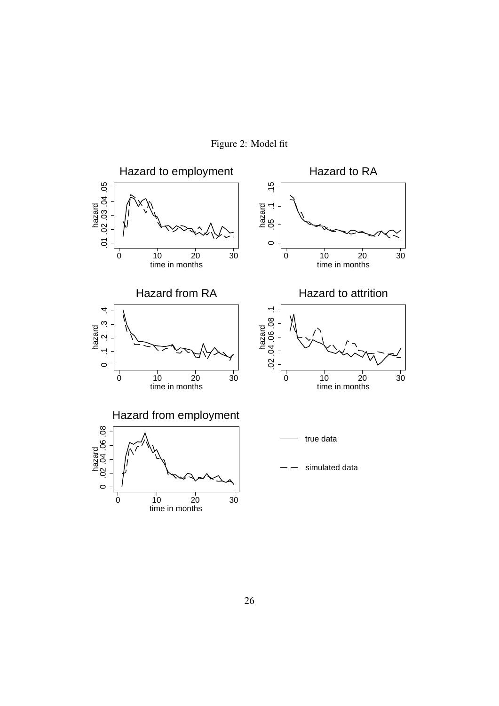

<span id="page-25-0"></span>Figure 2: Model fit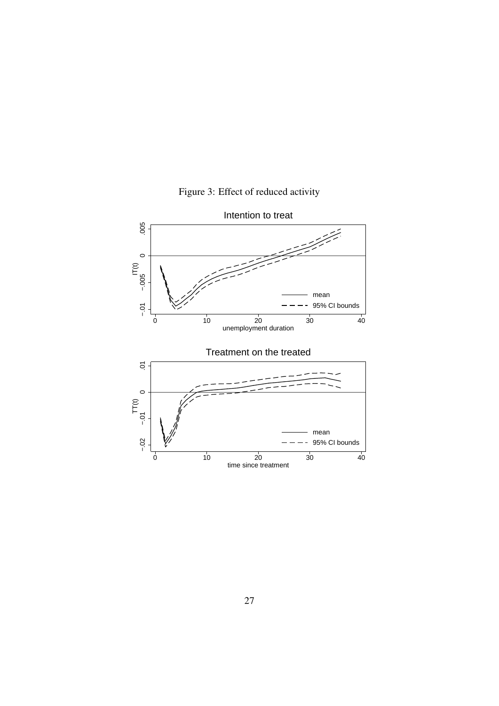<span id="page-26-0"></span>

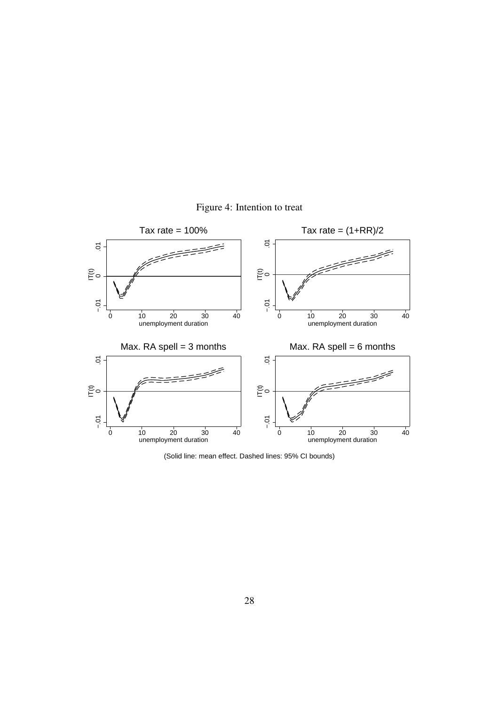<span id="page-27-0"></span>



(Solid line: mean effect. Dashed lines: 95% CI bounds)